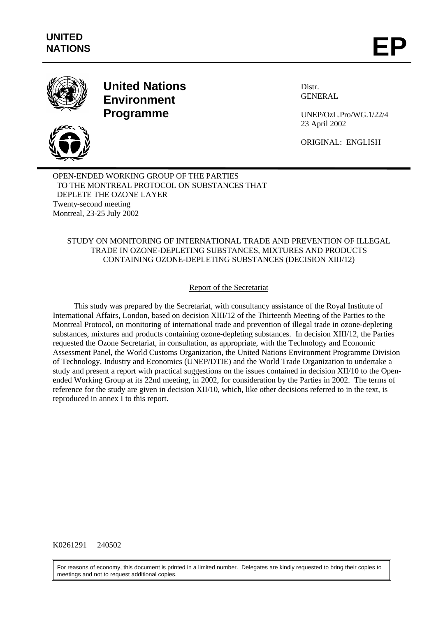



**United Nations Environment Programme**

Distr. **GENERAL** 

UNEP/OzL.Pro/WG.1/22/4 23 April 2002

ORIGINAL: ENGLISH

OPEN-ENDED WORKING GROUP OF THE PARTIES TO THE MONTREAL PROTOCOL ON SUBSTANCES THAT DEPLETE THE OZONE LAYER Twenty-second meeting Montreal, 23-25 July 2002

### STUDY ON MONITORING OF INTERNATIONAL TRADE AND PREVENTION OF ILLEGAL TRADE IN OZONE-DEPLETING SUBSTANCES, MIXTURES AND PRODUCTS CONTAINING OZONE-DEPLETING SUBSTANCES (DECISION XIII/12)

# Report of the Secretariat

This study was prepared by the Secretariat, with consultancy assistance of the Royal Institute of International Affairs, London, based on decision XIII/12 of the Thirteenth Meeting of the Parties to the Montreal Protocol, on monitoring of international trade and prevention of illegal trade in ozone-depleting substances, mixtures and products containing ozone-depleting substances. In decision XIII/12, the Parties requested the Ozone Secretariat, in consultation, as appropriate, with the Technology and Economic Assessment Panel, the World Customs Organization, the United Nations Environment Programme Division of Technology, Industry and Economics (UNEP/DTIE) and the World Trade Organization to undertake a study and present a report with practical suggestions on the issues contained in decision XII/10 to the Openended Working Group at its 22nd meeting, in 2002, for consideration by the Parties in 2002. The terms of reference for the study are given in decision XII/10, which, like other decisions referred to in the text, is reproduced in annex I to this report.

### K0261291 240502

For reasons of economy, this document is printed in a limited number. Delegates are kindly requested to bring their copies to meetings and not to request additional copies.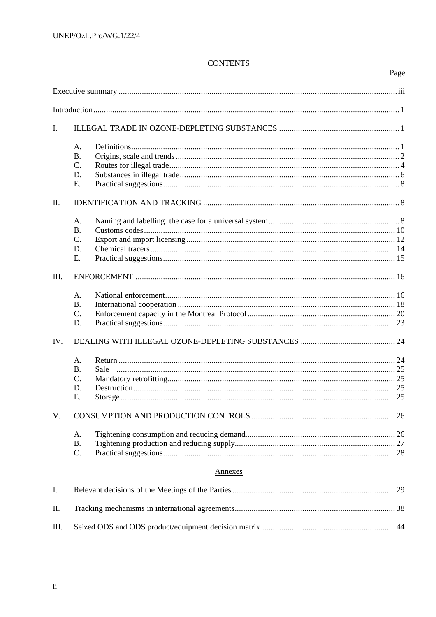# **CONTENTS**

Page

| I.         |                 |                |  |  |
|------------|-----------------|----------------|--|--|
|            | A.              |                |  |  |
|            | <b>B.</b>       |                |  |  |
|            | $C$ .           |                |  |  |
|            | D.              |                |  |  |
|            | E.              |                |  |  |
| $\rm{II}.$ |                 |                |  |  |
|            | A.              |                |  |  |
|            | <b>B.</b>       |                |  |  |
|            | $\mathcal{C}$ . |                |  |  |
|            | D.              |                |  |  |
|            | E.              |                |  |  |
| Ш.         |                 |                |  |  |
|            | A.              |                |  |  |
|            | <b>B.</b>       |                |  |  |
|            | $C$ .           |                |  |  |
|            | D.              |                |  |  |
| IV.        |                 |                |  |  |
|            | A.              |                |  |  |
|            | <b>B.</b>       | Sale           |  |  |
|            | $\mathcal{C}$ . |                |  |  |
|            | D.              |                |  |  |
|            | Е.              |                |  |  |
| V.         |                 |                |  |  |
|            | A.              |                |  |  |
|            | <b>B.</b>       |                |  |  |
|            | C.              |                |  |  |
|            |                 | <u>Annexes</u> |  |  |
| I.         |                 |                |  |  |
| Π.         |                 |                |  |  |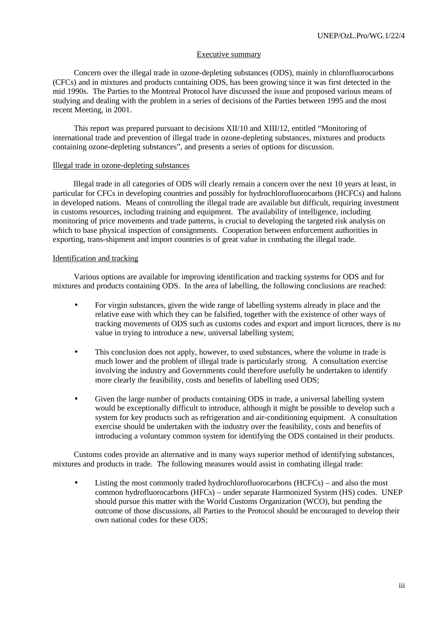#### Executive summary

Concern over the illegal trade in ozone-depleting substances (ODS), mainly in chlorofluorocarbons (CFCs) and in mixtures and products containing ODS, has been growing since it was first detected in the mid 1990s. The Parties to the Montreal Protocol have discussed the issue and proposed various means of studying and dealing with the problem in a series of decisions of the Parties between 1995 and the most recent Meeting, in 2001.

This report was prepared pursuant to decisions XII/10 and XIII/12, entitled "Monitoring of international trade and prevention of illegal trade in ozone-depleting substances, mixtures and products containing ozone-depleting substances", and presents a series of options for discussion.

#### Illegal trade in ozone-depleting substances

Illegal trade in all categories of ODS will clearly remain a concern over the next 10 years at least, in particular for CFCs in developing countries and possibly for hydrochlorofluorocarbons (HCFCs) and halons in developed nations. Means of controlling the illegal trade are available but difficult, requiring investment in customs resources, including training and equipment. The availability of intelligence, including monitoring of price movements and trade patterns, is crucial to developing the targeted risk analysis on which to base physical inspection of consignments. Cooperation between enforcement authorities in exporting, trans-shipment and import countries is of great value in combating the illegal trade.

#### Identification and tracking

Various options are available for improving identification and tracking systems for ODS and for mixtures and products containing ODS. In the area of labelling*,* the following conclusions are reached:

- For virgin substances, given the wide range of labelling systems already in place and the relative ease with which they can be falsified, together with the existence of other ways of tracking movements of ODS such as customs codes and export and import licences, there is no value in trying to introduce a new, universal labelling system;
- This conclusion does not apply, however, to used substances, where the volume in trade is much lower and the problem of illegal trade is particularly strong. A consultation exercise involving the industry and Governments could therefore usefully be undertaken to identify more clearly the feasibility, costs and benefits of labelling used ODS;
- Given the large number of products containing ODS in trade, a universal labelling system would be exceptionally difficult to introduce, although it might be possible to develop such a system for key products such as refrigeration and air-conditioning equipment. A consultation exercise should be undertaken with the industry over the feasibility, costs and benefits of introducing a voluntary common system for identifying the ODS contained in their products.

Customs codes provide an alternative and in many ways superior method of identifying substances, mixtures and products in trade. The following measures would assist in combating illegal trade:

Listing the most commonly traded hydrochlorofluorocarbons (HCFCs) – and also the most common hydrofluorocarbons (HFCs) – under separate Harmonized System (HS) codes. UNEP should pursue this matter with the World Customs Organization (WCO), but pending the outcome of those discussions, all Parties to the Protocol should be encouraged to develop their own national codes for these ODS;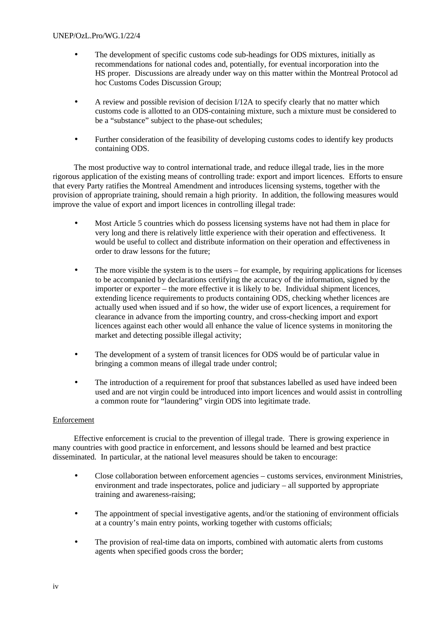- The development of specific customs code sub-headings for ODS mixtures, initially as recommendations for national codes and, potentially, for eventual incorporation into the HS proper. Discussions are already under way on this matter within the Montreal Protocol ad hoc Customs Codes Discussion Group;
- A review and possible revision of decision I/12A to specify clearly that no matter which customs code is allotted to an ODS-containing mixture, such a mixture must be considered to be a "substance" subject to the phase-out schedules;
- Further consideration of the feasibility of developing customs codes to identify key products containing ODS.

The most productive way to control international trade, and reduce illegal trade, lies in the more rigorous application of the existing means of controlling trade: export and import licences. Efforts to ensure that every Party ratifies the Montreal Amendment and introduces licensing systems, together with the provision of appropriate training, should remain a high priority. In addition, the following measures would improve the value of export and import licences in controlling illegal trade:

- Most Article 5 countries which do possess licensing systems have not had them in place for very long and there is relatively little experience with their operation and effectiveness. It would be useful to collect and distribute information on their operation and effectiveness in order to draw lessons for the future;
- The more visible the system is to the users for example, by requiring applications for licenses to be accompanied by declarations certifying the accuracy of the information, signed by the importer or exporter – the more effective it is likely to be. Individual shipment licences, extending licence requirements to products containing ODS, checking whether licences are actually used when issued and if so how, the wider use of export licences, a requirement for clearance in advance from the importing country, and cross-checking import and export licences against each other would all enhance the value of licence systems in monitoring the market and detecting possible illegal activity;
- The development of a system of transit licences for ODS would be of particular value in bringing a common means of illegal trade under control;
- The introduction of a requirement for proof that substances labelled as used have indeed been used and are not virgin could be introduced into import licences and would assist in controlling a common route for "laundering" virgin ODS into legitimate trade.

# Enforcement

Effective enforcement is crucial to the prevention of illegal trade. There is growing experience in many countries with good practice in enforcement, and lessons should be learned and best practice disseminated. In particular, at the national level measures should be taken to encourage:

- Close collaboration between enforcement agencies customs services, environment Ministries, environment and trade inspectorates, police and judiciary – all supported by appropriate training and awareness-raising;
- The appointment of special investigative agents, and/or the stationing of environment officials at a country's main entry points, working together with customs officials;
- The provision of real-time data on imports, combined with automatic alerts from customs agents when specified goods cross the border;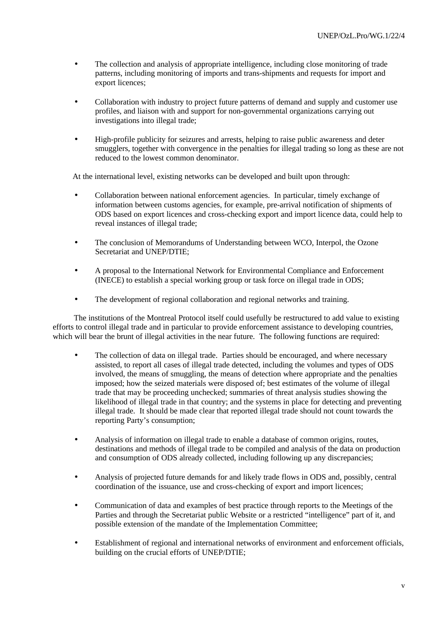- The collection and analysis of appropriate intelligence, including close monitoring of trade patterns, including monitoring of imports and trans-shipments and requests for import and export licences;
- Collaboration with industry to project future patterns of demand and supply and customer use profiles, and liaison with and support for non-governmental organizations carrying out investigations into illegal trade;
- High-profile publicity for seizures and arrests, helping to raise public awareness and deter smugglers, together with convergence in the penalties for illegal trading so long as these are not reduced to the lowest common denominator.

At the international level, existing networks can be developed and built upon through:

- Collaboration between national enforcement agencies. In particular, timely exchange of information between customs agencies, for example, pre-arrival notification of shipments of ODS based on export licences and cross-checking export and import licence data, could help to reveal instances of illegal trade;
- The conclusion of Memorandums of Understanding between WCO, Interpol, the Ozone Secretariat and UNEP/DTIE;
- A proposal to the International Network for Environmental Compliance and Enforcement (INECE) to establish a special working group or task force on illegal trade in ODS;
- The development of regional collaboration and regional networks and training.

The institutions of the Montreal Protocol itself could usefully be restructured to add value to existing efforts to control illegal trade and in particular to provide enforcement assistance to developing countries, which will bear the brunt of illegal activities in the near future. The following functions are required:

- The collection of data on illegal trade. Parties should be encouraged, and where necessary assisted, to report all cases of illegal trade detected, including the volumes and types of ODS involved, the means of smuggling, the means of detection where appropriate and the penalties imposed; how the seized materials were disposed of; best estimates of the volume of illegal trade that may be proceeding unchecked; summaries of threat analysis studies showing the likelihood of illegal trade in that country; and the systems in place for detecting and preventing illegal trade. It should be made clear that reported illegal trade should not count towards the reporting Party's consumption;
- Analysis of information on illegal trade to enable a database of common origins, routes, destinations and methods of illegal trade to be compiled and analysis of the data on production and consumption of ODS already collected, including following up any discrepancies;
- Analysis of projected future demands for and likely trade flows in ODS and, possibly, central coordination of the issuance, use and cross-checking of export and import licences;
- Communication of data and examples of best practice through reports to the Meetings of the Parties and through the Secretariat public Website or a restricted "intelligence" part of it, and possible extension of the mandate of the Implementation Committee;
- Establishment of regional and international networks of environment and enforcement officials, building on the crucial efforts of UNEP/DTIE;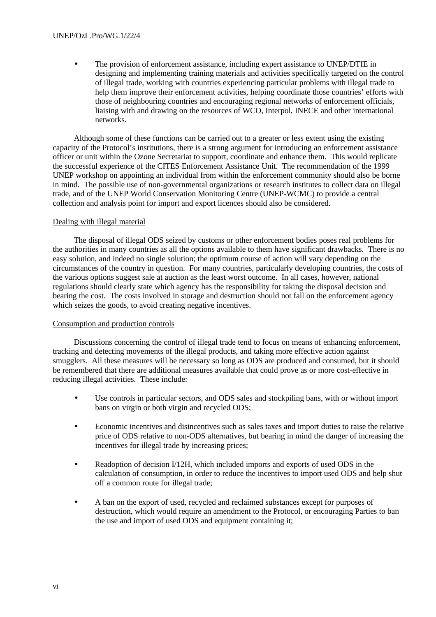#### UNEP/OzL.Pro/WG.1/22/4

• The provision of enforcement assistance, including expert assistance to UNEP/DTIE in designing and implementing training materials and activities specifically targeted on the control of illegal trade, working with countries experiencing particular problems with illegal trade to help them improve their enforcement activities, helping coordinate those countries' efforts with those of neighbouring countries and encouraging regional networks of enforcement officials, liaising with and drawing on the resources of WCO, Interpol, INECE and other international networks.

Although some of these functions can be carried out to a greater or less extent using the existing capacity of the Protocol's institutions, there is a strong argument for introducing an enforcement assistance officer or unit within the Ozone Secretariat to support, coordinate and enhance them. This would replicate the successful experience of the CITES Enforcement Assistance Unit. The recommendation of the 1999 UNEP workshop on appointing an individual from within the enforcement community should also be borne in mind. The possible use of non-governmental organizations or research institutes to collect data on illegal trade, and of the UNEP World Conservation Monitoring Centre (UNEP-WCMC) to provide a central collection and analysis point for import and export licences should also be considered.

#### Dealing with illegal material

The disposal of illegal ODS seized by customs or other enforcement bodies poses real problems for the authorities in many countries as all the options available to them have significant drawbacks. There is no easy solution, and indeed no single solution; the optimum course of action will vary depending on the circumstances of the country in question. For many countries, particularly developing countries, the costs of the various options suggest sale at auction as the least worst outcome. In all cases, however, national regulations should clearly state which agency has the responsibility for taking the disposal decision and bearing the cost. The costs involved in storage and destruction should not fall on the enforcement agency which seizes the goods, to avoid creating negative incentives.

### Consumption and production controls

Discussions concerning the control of illegal trade tend to focus on means of enhancing enforcement, tracking and detecting movements of the illegal products, and taking more effective action against smugglers. All these measures will be necessary so long as ODS are produced and consumed, but it should be remembered that there are additional measures available that could prove as or more cost-effective in reducing illegal activities. These include:

- Use controls in particular sectors, and ODS sales and stockpiling bans, with or without import bans on virgin or both virgin and recycled ODS;
- Economic incentives and disincentives such as sales taxes and import duties to raise the relative price of ODS relative to non-ODS alternatives, but bearing in mind the danger of increasing the incentives for illegal trade by increasing prices;
- Readoption of decision I/12H, which included imports and exports of used ODS in the calculation of consumption, in order to reduce the incentives to import used ODS and help shut off a common route for illegal trade;
- A ban on the export of used, recycled and reclaimed substances except for purposes of destruction, which would require an amendment to the Protocol, or encouraging Parties to ban the use and import of used ODS and equipment containing it;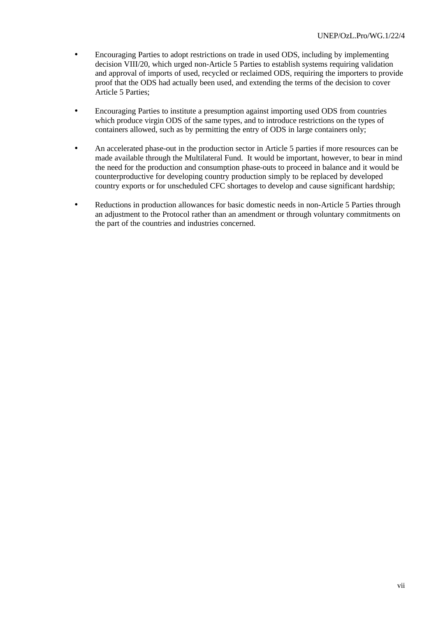- Encouraging Parties to adopt restrictions on trade in used ODS, including by implementing decision VIII/20, which urged non-Article 5 Parties to establish systems requiring validation and approval of imports of used, recycled or reclaimed ODS, requiring the importers to provide proof that the ODS had actually been used, and extending the terms of the decision to cover Article 5 Parties;
- Encouraging Parties to institute a presumption against importing used ODS from countries which produce virgin ODS of the same types, and to introduce restrictions on the types of containers allowed, such as by permitting the entry of ODS in large containers only;
- An accelerated phase-out in the production sector in Article 5 parties if more resources can be made available through the Multilateral Fund. It would be important, however, to bear in mind the need for the production and consumption phase-outs to proceed in balance and it would be counterproductive for developing country production simply to be replaced by developed country exports or for unscheduled CFC shortages to develop and cause significant hardship;
- Reductions in production allowances for basic domestic needs in non-Article 5 Parties through an adjustment to the Protocol rather than an amendment or through voluntary commitments on the part of the countries and industries concerned.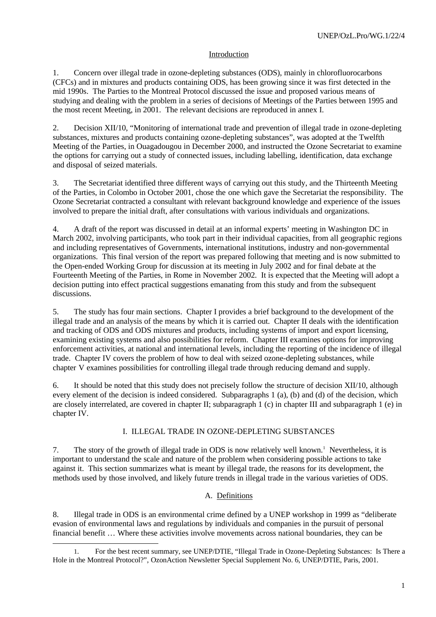## Introduction

1. Concern over illegal trade in ozone-depleting substances (ODS), mainly in chlorofluorocarbons (CFCs) and in mixtures and products containing ODS, has been growing since it was first detected in the mid 1990s. The Parties to the Montreal Protocol discussed the issue and proposed various means of studying and dealing with the problem in a series of decisions of Meetings of the Parties between 1995 and the most recent Meeting, in 2001. The relevant decisions are reproduced in annex I.

2. Decision XII/10, "Monitoring of international trade and prevention of illegal trade in ozone-depleting substances, mixtures and products containing ozone-depleting substances", was adopted at the Twelfth Meeting of the Parties, in Ouagadougou in December 2000, and instructed the Ozone Secretariat to examine the options for carrying out a study of connected issues, including labelling, identification, data exchange and disposal of seized materials.

3. The Secretariat identified three different ways of carrying out this study, and the Thirteenth Meeting of the Parties, in Colombo in October 2001, chose the one which gave the Secretariat the responsibility. The Ozone Secretariat contracted a consultant with relevant background knowledge and experience of the issues involved to prepare the initial draft, after consultations with various individuals and organizations.

4. A draft of the report was discussed in detail at an informal experts' meeting in Washington DC in March 2002, involving participants, who took part in their individual capacities, from all geographic regions and including representatives of Governments, international institutions, industry and non-governmental organizations. This final version of the report was prepared following that meeting and is now submitted to the Open-ended Working Group for discussion at its meeting in July 2002 and for final debate at the Fourteenth Meeting of the Parties, in Rome in November 2002. It is expected that the Meeting will adopt a decision putting into effect practical suggestions emanating from this study and from the subsequent discussions.

5. The study has four main sections. Chapter I provides a brief background to the development of the illegal trade and an analysis of the means by which it is carried out. Chapter II deals with the identification and tracking of ODS and ODS mixtures and products, including systems of import and export licensing, examining existing systems and also possibilities for reform. Chapter III examines options for improving enforcement activities, at national and international levels, including the reporting of the incidence of illegal trade. Chapter IV covers the problem of how to deal with seized ozone-depleting substances, while chapter V examines possibilities for controlling illegal trade through reducing demand and supply.

6. It should be noted that this study does not precisely follow the structure of decision XII/10, although every element of the decision is indeed considered. Subparagraphs 1 (a), (b) and (d) of the decision, which are closely interrelated, are covered in chapter II; subparagraph 1 (c) in chapter III and subparagraph 1 (e) in chapter IV.

# I. ILLEGAL TRADE IN OZONE-DEPLETING SUBSTANCES

7. The story of the growth of illegal trade in ODS is now relatively well known.<sup>1</sup> Nevertheless, it is important to understand the scale and nature of the problem when considering possible actions to take against it. This section summarizes what is meant by illegal trade, the reasons for its development, the methods used by those involved, and likely future trends in illegal trade in the various varieties of ODS.

### A. Definitions

8. Illegal trade in ODS is an environmental crime defined by a UNEP workshop in 1999 as "deliberate evasion of environmental laws and regulations by individuals and companies in the pursuit of personal financial benefit … Where these activities involve movements across national boundaries, they can be

<sup>1</sup>. For the best recent summary, see UNEP/DTIE, "Illegal Trade in Ozone-Depleting Substances: Is There a Hole in the Montreal Protocol?", OzonAction Newsletter Special Supplement No. 6, UNEP/DTIE, Paris, 2001.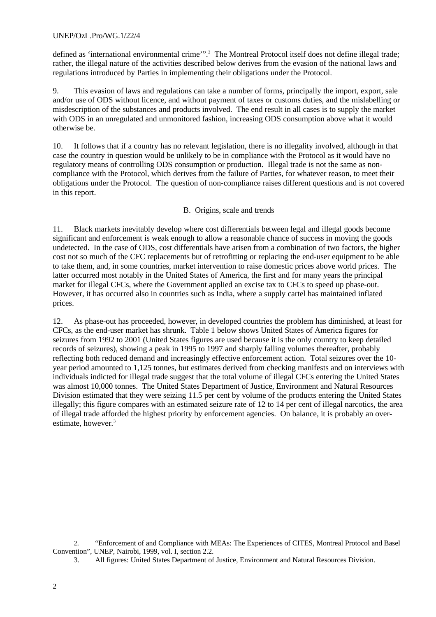## UNEP/OzL.Pro/WG.1/22/4

defined as 'international environmental crime'".<sup>2</sup> The Montreal Protocol itself does not define illegal trade; rather, the illegal nature of the activities described below derives from the evasion of the national laws and regulations introduced by Parties in implementing their obligations under the Protocol.

9. This evasion of laws and regulations can take a number of forms, principally the import, export, sale and/or use of ODS without licence, and without payment of taxes or customs duties, and the mislabelling or misdescription of the substances and products involved. The end result in all cases is to supply the market with ODS in an unregulated and unmonitored fashion, increasing ODS consumption above what it would otherwise be.

10. It follows that if a country has no relevant legislation, there is no illegality involved, although in that case the country in question would be unlikely to be in compliance with the Protocol as it would have no regulatory means of controlling ODS consumption or production. Illegal trade is not the same as noncompliance with the Protocol, which derives from the failure of Parties, for whatever reason, to meet their obligations under the Protocol. The question of non-compliance raises different questions and is not covered in this report.

## B. Origins, scale and trends

11. Black markets inevitably develop where cost differentials between legal and illegal goods become significant and enforcement is weak enough to allow a reasonable chance of success in moving the goods undetected. In the case of ODS, cost differentials have arisen from a combination of two factors, the higher cost not so much of the CFC replacements but of retrofitting or replacing the end-user equipment to be able to take them, and, in some countries, market intervention to raise domestic prices above world prices. The latter occurred most notably in the United States of America, the first and for many years the principal market for illegal CFCs, where the Government applied an excise tax to CFCs to speed up phase-out. However, it has occurred also in countries such as India, where a supply cartel has maintained inflated prices.

12. As phase-out has proceeded, however, in developed countries the problem has diminished, at least for CFCs, as the end-user market has shrunk. Table 1 below shows United States of America figures for seizures from 1992 to 2001 (United States figures are used because it is the only country to keep detailed records of seizures), showing a peak in 1995 to 1997 and sharply falling volumes thereafter, probably reflecting both reduced demand and increasingly effective enforcement action. Total seizures over the 10 year period amounted to 1,125 tonnes, but estimates derived from checking manifests and on interviews with individuals indicted for illegal trade suggest that the total volume of illegal CFCs entering the United States was almost 10,000 tonnes. The United States Department of Justice, Environment and Natural Resources Division estimated that they were seizing 11.5 per cent by volume of the products entering the United States illegally; this figure compares with an estimated seizure rate of 12 to 14 per cent of illegal narcotics, the area of illegal trade afforded the highest priority by enforcement agencies. On balance, it is probably an overestimate, however.<sup>3</sup>

l

<sup>2</sup>. "Enforcement of and Compliance with MEAs: The Experiences of CITES, Montreal Protocol and Basel Convention", UNEP, Nairobi, 1999, vol. I, section 2.2.

<sup>3.</sup> All figures: United States Department of Justice, Environment and Natural Resources Division.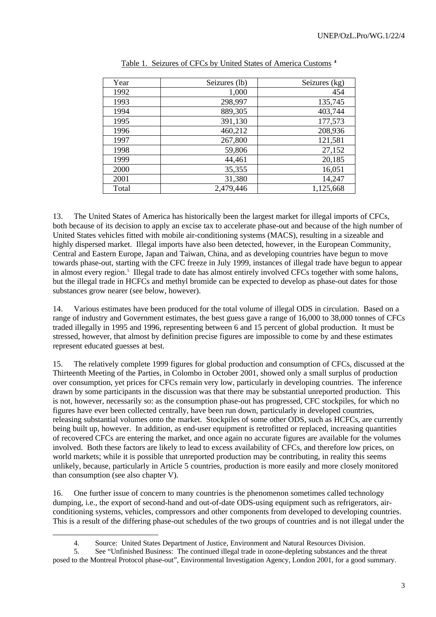| Year  | Seizures (lb) | Seizures (kg) |
|-------|---------------|---------------|
| 1992  | 1,000         | 454           |
| 1993  | 298,997       | 135,745       |
| 1994  | 889,305       | 403,744       |
| 1995  | 391,130       | 177,573       |
| 1996  | 460,212       | 208,936       |
| 1997  | 267,800       | 121,581       |
| 1998  | 59,806        | 27,152        |
| 1999  | 44,461        | 20,185        |
| 2000  | 35,355        | 16,051        |
| 2001  | 31,380        | 14,247        |
| Total | 2,479,446     | 1,125,668     |

13. The United States of America has historically been the largest market for illegal imports of CFCs, both because of its decision to apply an excise tax to accelerate phase-out and because of the high number of United States vehicles fitted with mobile air-conditioning systems (MACS), resulting in a sizeable and highly dispersed market. Illegal imports have also been detected, however, in the European Community, Central and Eastern Europe, Japan and Taiwan, China, and as developing countries have begun to move towards phase-out, starting with the CFC freeze in July 1999, instances of illegal trade have begun to appear in almost every region.<sup>5</sup> Illegal trade to date has almost entirely involved CFCs together with some halons, but the illegal trade in HCFCs and methyl bromide can be expected to develop as phase-out dates for those substances grow nearer (see below, however).

14. Various estimates have been produced for the total volume of illegal ODS in circulation. Based on a range of industry and Government estimates, the best guess gave a range of 16,000 to 38,000 tonnes of CFCs traded illegally in 1995 and 1996, representing between 6 and 15 percent of global production. It must be stressed, however, that almost by definition precise figures are impossible to come by and these estimates represent educated guesses at best.

15. The relatively complete 1999 figures for global production and consumption of CFCs, discussed at the Thirteenth Meeting of the Parties, in Colombo in October 2001, showed only a small surplus of production over consumption, yet prices for CFCs remain very low, particularly in developing countries. The inference drawn by some participants in the discussion was that there may be substantial unreported production. This is not, however, necessarily so: as the consumption phase-out has progressed, CFC stockpiles, for which no figures have ever been collected centrally, have been run down, particularly in developed countries, releasing substantial volumes onto the market. Stockpiles of some other ODS, such as HCFCs, are currently being built up, however. In addition, as end-user equipment is retrofitted or replaced, increasing quantities of recovered CFCs are entering the market, and once again no accurate figures are available for the volumes involved. Both these factors are likely to lead to excess availability of CFCs, and therefore low prices, on world markets; while it is possible that unreported production may be contributing, in reality this seems unlikely, because, particularly in Article 5 countries, production is more easily and more closely monitored than consumption (see also chapter V).

16. One further issue of concern to many countries is the phenomenon sometimes called technology dumping, i.e., the export of second-hand and out-of-date ODS-using equipment such as refrigerators, airconditioning systems, vehicles, compressors and other components from developed to developing countries. This is a result of the differing phase-out schedules of the two groups of countries and is not illegal under the

l

<sup>4.</sup> Source: United States Department of Justice, Environment and Natural Resources Division*.*

<sup>5.</sup> See "Unfinished Business: The continued illegal trade in ozone-depleting substances and the threat posed to the Montreal Protocol phase-out", Environmental Investigation Agency, London 2001, for a good summary.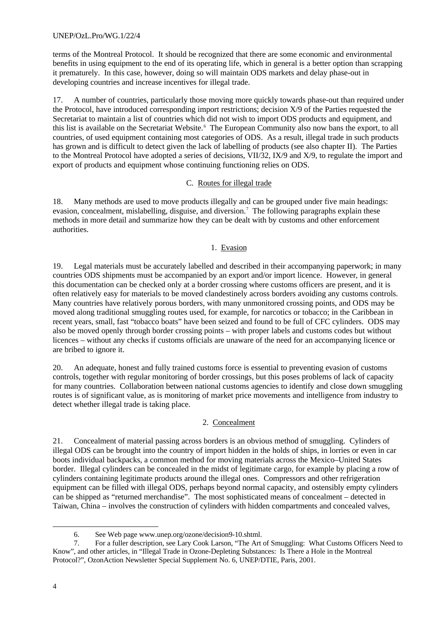terms of the Montreal Protocol. It should be recognized that there are some economic and environmental benefits in using equipment to the end of its operating life, which in general is a better option than scrapping it prematurely. In this case, however, doing so will maintain ODS markets and delay phase-out in developing countries and increase incentives for illegal trade.

17. A number of countries, particularly those moving more quickly towards phase-out than required under the Protocol, have introduced corresponding import restrictions; decision X/9 of the Parties requested the Secretariat to maintain a list of countries which did not wish to import ODS products and equipment, and this list is available on the Secretariat Website.<sup>6</sup> The European Community also now bans the export, to all countries, of used equipment containing most categories of ODS. As a result, illegal trade in such products has grown and is difficult to detect given the lack of labelling of products (see also chapter II). The Parties to the Montreal Protocol have adopted a series of decisions, VII/32, IX/9 and X/9, to regulate the import and export of products and equipment whose continuing functioning relies on ODS.

## C. Routes for illegal trade

18. Many methods are used to move products illegally and can be grouped under five main headings: evasion, concealment, mislabelling, disguise, and diversion.<sup>7</sup> The following paragraphs explain these methods in more detail and summarize how they can be dealt with by customs and other enforcement authorities.

## 1. Evasion

19. Legal materials must be accurately labelled and described in their accompanying paperwork; in many countries ODS shipments must be accompanied by an export and/or import licence. However, in general this documentation can be checked only at a border crossing where customs officers are present, and it is often relatively easy for materials to be moved clandestinely across borders avoiding any customs controls. Many countries have relatively porous borders, with many unmonitored crossing points, and ODS may be moved along traditional smuggling routes used, for example, for narcotics or tobacco; in the Caribbean in recent years, small, fast "tobacco boats" have been seized and found to be full of CFC cylinders. ODS may also be moved openly through border crossing points – with proper labels and customs codes but without licences – without any checks if customs officials are unaware of the need for an accompanying licence or are bribed to ignore it.

20. An adequate, honest and fully trained customs force is essential to preventing evasion of customs controls, together with regular monitoring of border crossings, but this poses problems of lack of capacity for many countries. Collaboration between national customs agencies to identify and close down smuggling routes is of significant value, as is monitoring of market price movements and intelligence from industry to detect whether illegal trade is taking place.

# 2. Concealment

21. Concealment of material passing across borders is an obvious method of smuggling. Cylinders of illegal ODS can be brought into the country of import hidden in the holds of ships, in lorries or even in car boots individual backpacks, a common method for moving materials across the Mexico–United States border. Illegal cylinders can be concealed in the midst of legitimate cargo, for example by placing a row of cylinders containing legitimate products around the illegal ones. Compressors and other refrigeration equipment can be filled with illegal ODS, perhaps beyond normal capacity, and ostensibly empty cylinders can be shipped as "returned merchandise". The most sophisticated means of concealment – detected in Taiwan, China – involves the construction of cylinders with hidden compartments and concealed valves,

<sup>6.</sup> See Web page www.unep.org/ozone/decision9-10.shtml.

<sup>7.</sup> For a fuller description, see Lary Cook Larson, "The Art of Smuggling: What Customs Officers Need to Know", and other articles, in "Illegal Trade in Ozone-Depleting Substances: Is There a Hole in the Montreal Protocol?", OzonAction Newsletter Special Supplement No. 6, UNEP/DTIE, Paris, 2001.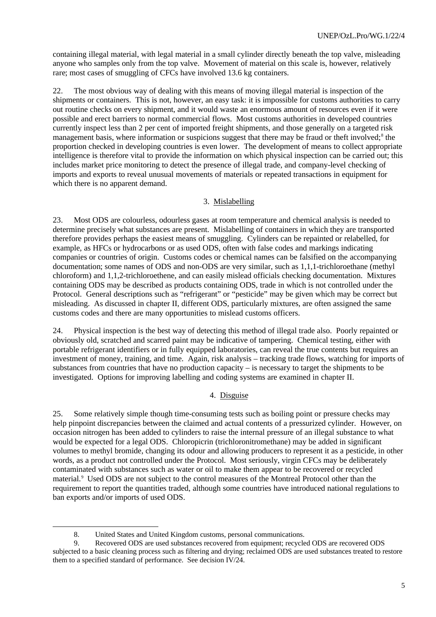containing illegal material, with legal material in a small cylinder directly beneath the top valve, misleading anyone who samples only from the top valve. Movement of material on this scale is, however, relatively rare; most cases of smuggling of CFCs have involved 13.6 kg containers.

22. The most obvious way of dealing with this means of moving illegal material is inspection of the shipments or containers. This is not, however, an easy task: it is impossible for customs authorities to carry out routine checks on every shipment, and it would waste an enormous amount of resources even if it were possible and erect barriers to normal commercial flows. Most customs authorities in developed countries currently inspect less than 2 per cent of imported freight shipments, and those generally on a targeted risk management basis, where information or suspicions suggest that there may be fraud or theft involved;<sup>8</sup> the proportion checked in developing countries is even lower. The development of means to collect appropriate intelligence is therefore vital to provide the information on which physical inspection can be carried out; this includes market price monitoring to detect the presence of illegal trade, and company-level checking of imports and exports to reveal unusual movements of materials or repeated transactions in equipment for which there is no apparent demand.

### 3. Mislabelling

23. Most ODS are colourless, odourless gases at room temperature and chemical analysis is needed to determine precisely what substances are present. Mislabelling of containers in which they are transported therefore provides perhaps the easiest means of smuggling. Cylinders can be repainted or relabelled, for example, as HFCs or hydrocarbons or as used ODS, often with false codes and markings indicating companies or countries of origin. Customs codes or chemical names can be falsified on the accompanying documentation; some names of ODS and non-ODS are very similar, such as 1,1,1-trichloroethane (methyl chloroform) and 1,1,2-trichloroethene, and can easily mislead officials checking documentation. Mixtures containing ODS may be described as products containing ODS, trade in which is not controlled under the Protocol. General descriptions such as "refrigerant" or "pesticide" may be given which may be correct but misleading. As discussed in chapter II, different ODS, particularly mixtures, are often assigned the same customs codes and there are many opportunities to mislead customs officers.

24. Physical inspection is the best way of detecting this method of illegal trade also. Poorly repainted or obviously old, scratched and scarred paint may be indicative of tampering. Chemical testing, either with portable refrigerant identifiers or in fully equipped laboratories, can reveal the true contents but requires an investment of money, training, and time. Again, risk analysis – tracking trade flows, watching for imports of substances from countries that have no production capacity – is necessary to target the shipments to be investigated. Options for improving labelling and coding systems are examined in chapter II.

### 4. Disguise

25. Some relatively simple though time-consuming tests such as boiling point or pressure checks may help pinpoint discrepancies between the claimed and actual contents of a pressurized cylinder. However, on occasion nitrogen has been added to cylinders to raise the internal pressure of an illegal substance to what would be expected for a legal ODS. Chloropicrin (trichloronitromethane) may be added in significant volumes to methyl bromide, changing its odour and allowing producers to represent it as a pesticide, in other words, as a product not controlled under the Protocol. Most seriously, virgin CFCs may be deliberately contaminated with substances such as water or oil to make them appear to be recovered or recycled material.<sup>9</sup> Used ODS are not subject to the control measures of the Montreal Protocol other than the requirement to report the quantities traded, although some countries have introduced national regulations to ban exports and/or imports of used ODS.

<sup>8.</sup> United States and United Kingdom customs, personal communications.

<sup>9.</sup> Recovered ODS are used substances recovered from equipment; recycled ODS are recovered ODS subjected to a basic cleaning process such as filtering and drying; reclaimed ODS are used substances treated to restore them to a specified standard of performance. See decision IV/24.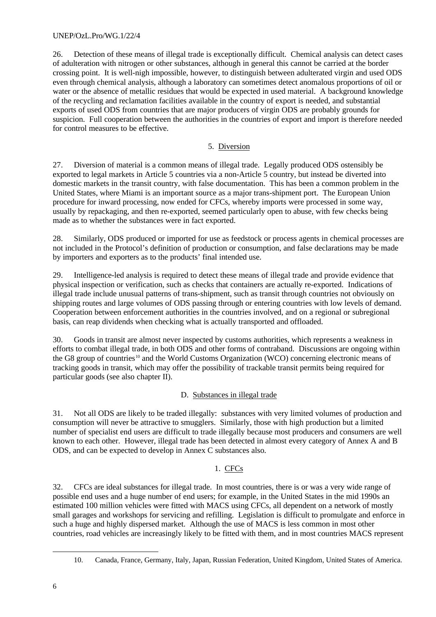26. Detection of these means of illegal trade is exceptionally difficult. Chemical analysis can detect cases of adulteration with nitrogen or other substances, although in general this cannot be carried at the border crossing point. It is well-nigh impossible, however, to distinguish between adulterated virgin and used ODS even through chemical analysis, although a laboratory can sometimes detect anomalous proportions of oil or water or the absence of metallic residues that would be expected in used material. A background knowledge of the recycling and reclamation facilities available in the country of export is needed, and substantial exports of used ODS from countries that are major producers of virgin ODS are probably grounds for suspicion. Full cooperation between the authorities in the countries of export and import is therefore needed for control measures to be effective.

# 5. Diversion

27. Diversion of material is a common means of illegal trade. Legally produced ODS ostensibly be exported to legal markets in Article 5 countries via a non-Article 5 country, but instead be diverted into domestic markets in the transit country, with false documentation. This has been a common problem in the United States, where Miami is an important source as a major trans-shipment port. The European Union procedure for inward processing, now ended for CFCs, whereby imports were processed in some way, usually by repackaging, and then re-exported, seemed particularly open to abuse, with few checks being made as to whether the substances were in fact exported.

28. Similarly, ODS produced or imported for use as feedstock or process agents in chemical processes are not included in the Protocol's definition of production or consumption, and false declarations may be made by importers and exporters as to the products' final intended use.

29. Intelligence-led analysis is required to detect these means of illegal trade and provide evidence that physical inspection or verification, such as checks that containers are actually re-exported. Indications of illegal trade include unusual patterns of trans-shipment, such as transit through countries not obviously on shipping routes and large volumes of ODS passing through or entering countries with low levels of demand. Cooperation between enforcement authorities in the countries involved, and on a regional or subregional basis, can reap dividends when checking what is actually transported and offloaded.

30. Goods in transit are almost never inspected by customs authorities, which represents a weakness in efforts to combat illegal trade, in both ODS and other forms of contraband. Discussions are ongoing within the G8 group of countries<sup>10</sup> and the World Customs Organization (WCO) concerning electronic means of tracking goods in transit, which may offer the possibility of trackable transit permits being required for particular goods (see also chapter II).

# D. Substances in illegal trade

31. Not all ODS are likely to be traded illegally: substances with very limited volumes of production and consumption will never be attractive to smugglers. Similarly, those with high production but a limited number of specialist end users are difficult to trade illegally because most producers and consumers are well known to each other. However, illegal trade has been detected in almost every category of Annex A and B ODS, and can be expected to develop in Annex C substances also.

# 1. CFCs

32. CFCs are ideal substances for illegal trade. In most countries, there is or was a very wide range of possible end uses and a huge number of end users; for example, in the United States in the mid 1990s an estimated 100 million vehicles were fitted with MACS using CFCs, all dependent on a network of mostly small garages and workshops for servicing and refilling. Legislation is difficult to promulgate and enforce in such a huge and highly dispersed market. Although the use of MACS is less common in most other countries, road vehicles are increasingly likely to be fitted with them, and in most countries MACS represent

<sup>10.</sup> Canada, France, Germany, Italy, Japan, Russian Federation, United Kingdom, United States of America.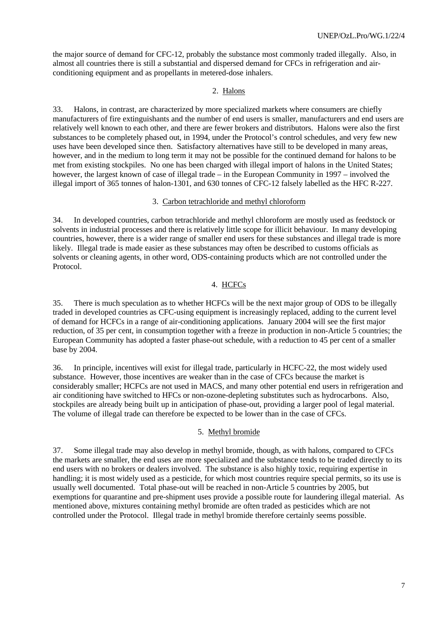the major source of demand for CFC-12, probably the substance most commonly traded illegally. Also, in almost all countries there is still a substantial and dispersed demand for CFCs in refrigeration and airconditioning equipment and as propellants in metered-dose inhalers.

### 2. Halons

33. Halons*,* in contrast, are characterized by more specialized markets where consumers are chiefly manufacturers of fire extinguishants and the number of end users is smaller, manufacturers and end users are relatively well known to each other, and there are fewer brokers and distributors. Halons were also the first substances to be completely phased out, in 1994, under the Protocol's control schedules, and very few new uses have been developed since then. Satisfactory alternatives have still to be developed in many areas, however, and in the medium to long term it may not be possible for the continued demand for halons to be met from existing stockpiles. No one has been charged with illegal import of halons in the United States; however, the largest known of case of illegal trade – in the European Community in 1997 – involved the illegal import of 365 tonnes of halon-1301, and 630 tonnes of CFC-12 falsely labelled as the HFC R-227.

#### 3. Carbon tetrachloride and methyl chloroform

34. In developed countries, carbon tetrachloride and methyl chloroform are mostly used as feedstock or solvents in industrial processes and there is relatively little scope for illicit behaviour. In many developing countries, however, there is a wider range of smaller end users for these substances and illegal trade is more likely. Illegal trade is made easier as these substances may often be described to customs officials as solvents or cleaning agents, in other word, ODS-containing products which are not controlled under the Protocol.

# 4. HCFCs

35. There is much speculation as to whether HCFCs will be the next major group of ODS to be illegally traded in developed countries as CFC-using equipment is increasingly replaced, adding to the current level of demand for HCFCs in a range of air-conditioning applications. January 2004 will see the first major reduction, of 35 per cent, in consumption together with a freeze in production in non-Article 5 countries; the European Community has adopted a faster phase-out schedule, with a reduction to 45 per cent of a smaller base by 2004.

36. In principle, incentives will exist for illegal trade, particularly in HCFC-22, the most widely used substance. However, those incentives are weaker than in the case of CFCs because the market is considerably smaller; HCFCs are not used in MACS, and many other potential end users in refrigeration and air conditioning have switched to HFCs or non-ozone-depleting substitutes such as hydrocarbons. Also, stockpiles are already being built up in anticipation of phase-out, providing a larger pool of legal material. The volume of illegal trade can therefore be expected to be lower than in the case of CFCs.

### 5. Methyl bromide

37. Some illegal trade may also develop in methyl bromide, though, as with halons, compared to CFCs the markets are smaller, the end uses are more specialized and the substance tends to be traded directly to its end users with no brokers or dealers involved. The substance is also highly toxic, requiring expertise in handling; it is most widely used as a pesticide, for which most countries require special permits, so its use is usually well documented. Total phase-out will be reached in non-Article 5 countries by 2005, but exemptions for quarantine and pre-shipment uses provide a possible route for laundering illegal material. As mentioned above, mixtures containing methyl bromide are often traded as pesticides which are not controlled under the Protocol. Illegal trade in methyl bromide therefore certainly seems possible.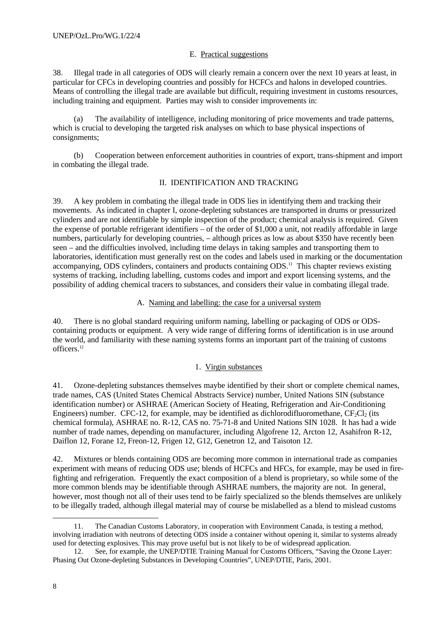### E. Practical suggestions

38. Illegal trade in all categories of ODS will clearly remain a concern over the next 10 years at least, in particular for CFCs in developing countries and possibly for HCFCs and halons in developed countries. Means of controlling the illegal trade are available but difficult, requiring investment in customs resources, including training and equipment. Parties may wish to consider improvements in:

(a) The availability of intelligence, including monitoring of price movements and trade patterns, which is crucial to developing the targeted risk analyses on which to base physical inspections of consignments;

(b) Cooperation between enforcement authorities in countries of export, trans-shipment and import in combating the illegal trade.

### II. IDENTIFICATION AND TRACKING

39. A key problem in combating the illegal trade in ODS lies in identifying them and tracking their movements. As indicated in chapter I, ozone-depleting substances are transported in drums or pressurized cylinders and are not identifiable by simple inspection of the product; chemical analysis is required. Given the expense of portable refrigerant identifiers – of the order of \$1,000 a unit, not readily affordable in large numbers, particularly for developing countries, – although prices as low as about \$350 have recently been seen – and the difficulties involved, including time delays in taking samples and transporting them to laboratories, identification must generally rest on the codes and labels used in marking or the documentation accompanying, ODS cylinders, containers and products containing ODS.<sup>11</sup> This chapter reviews existing systems of tracking, including labelling, customs codes and import and export licensing systems, and the possibility of adding chemical tracers to substances, and considers their value in combating illegal trade.

#### A. Naming and labelling: the case for a universal system

40. There is no global standard requiring uniform naming, labelling or packaging of ODS or ODScontaining products or equipment. A very wide range of differing forms of identification is in use around the world, and familiarity with these naming systems forms an important part of the training of customs officers.<sup>12</sup>

### 1. Virgin substances

41. Ozone-depleting substances themselves maybe identified by their short or complete chemical names, trade names, CAS (United States Chemical Abstracts Service) number, United Nations SIN (substance identification number) or ASHRAE (American Society of Heating, Refrigeration and Air-Conditioning Engineers) number. CFC-12, for example, may be identified as dichlorodifluoromethane,  $CF_2Cl_2$  (its chemical formula), ASHRAE no. R-12, CAS no. 75-71-8 and United Nations SIN 1028. It has had a wide number of trade names, depending on manufacturer, including Algofrene 12, Arcton 12, Asahifron R-12, Daiflon 12, Forane 12, Freon-12, Frigen 12, G12, Genetron 12, and Taisoton 12.

42. Mixtures or blends containing ODS are becoming more common in international trade as companies experiment with means of reducing ODS use; blends of HCFCs and HFCs, for example, may be used in firefighting and refrigeration. Frequently the exact composition of a blend is proprietary, so while some of the more common blends may be identifiable through ASHRAE numbers, the majority are not. In general, however, most though not all of their uses tend to be fairly specialized so the blends themselves are unlikely to be illegally traded, although illegal material may of course be mislabelled as a blend to mislead customs

<sup>11.</sup> The Canadian Customs Laboratory, in cooperation with Environment Canada, is testing a method, involving irradiation with neutrons of detecting ODS inside a container without opening it, similar to systems already used for detecting explosives. This may prove useful but is not likely to be of widespread application.

<sup>12.</sup> See, for example, the UNEP/DTIE Training Manual for Customs Officers, "Saving the Ozone Layer: Phasing Out Ozone-depleting Substances in Developing Countries", UNEP/DTIE, Paris, 2001.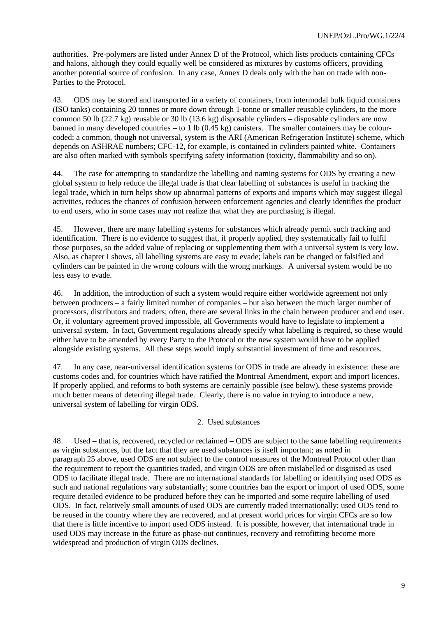authorities. Pre-polymers are listed under Annex D of the Protocol, which lists products containing CFCs and halons, although they could equally well be considered as mixtures by customs officers, providing another potential source of confusion. In any case, Annex D deals only with the ban on trade with non-Parties to the Protocol.

43. ODS may be stored and transported in a variety of containers, from intermodal bulk liquid containers (ISO tanks) containing 20 tonnes or more down through 1-tonne or smaller reusable cylinders, to the more common 50 lb (22.7 kg) reusable or 30 lb (13.6 kg) disposable cylinders – disposable cylinders are now banned in many developed countries – to 1 lb  $(0.45 \text{ kg})$  canisters. The smaller containers may be colourcoded; a common, though not universal, system is the ARI (American Refrigeration Institute) scheme, which depends on ASHRAE numbers; CFC-12, for example, is contained in cylinders painted white. Containers are also often marked with symbols specifying safety information (toxicity, flammability and so on).

44. The case for attempting to standardize the labelling and naming systems for ODS by creating a new global system to help reduce the illegal trade is that clear labelling of substances is useful in tracking the legal trade, which in turn helps show up abnormal patterns of exports and imports which may suggest illegal activities, reduces the chances of confusion between enforcement agencies and clearly identifies the product to end users, who in some cases may not realize that what they are purchasing is illegal.

45. However, there are many labelling systems for substances which already permit such tracking and identification. There is no evidence to suggest that, if properly applied, they systematically fail to fulfil those purposes, so the added value of replacing or supplementing them with a universal system is very low. Also, as chapter I shows, all labelling systems are easy to evade; labels can be changed or falsified and cylinders can be painted in the wrong colours with the wrong markings. A universal system would be no less easy to evade.

46. In addition, the introduction of such a system would require either worldwide agreement not only between producers – a fairly limited number of companies – but also between the much larger number of processors, distributors and traders; often, there are several links in the chain between producer and end user. Or, if voluntary agreement proved impossible, all Governments would have to legislate to implement a universal system. In fact, Government regulations already specify what labelling is required, so these would either have to be amended by every Party to the Protocol or the new system would have to be applied alongside existing systems. All these steps would imply substantial investment of time and resources.

47. In any case, near-universal identification systems for ODS in trade are already in existence: these are customs codes and, for countries which have ratified the Montreal Amendment, export and import licences. If properly applied, and reforms to both systems are certainly possible (see below), these systems provide much better means of deterring illegal trade. Clearly, there is no value in trying to introduce a new, universal system of labelling for virgin ODS.

## 2. Used substances

48. Used – that is, recovered, recycled or reclaimed – ODS are subject to the same labelling requirements as virgin substances, but the fact that they are used substances is itself important; as noted in paragraph 25 above, used ODS are not subject to the control measures of the Montreal Protocol other than the requirement to report the quantities traded, and virgin ODS are often mislabelled or disguised as used ODS to facilitate illegal trade. There are no international standards for labelling or identifying used ODS as such and national regulations vary substantially; some countries ban the export or import of used ODS, some require detailed evidence to be produced before they can be imported and some require labelling of used ODS. In fact, relatively small amounts of used ODS are currently traded internationally; used ODS tend to be reused in the country where they are recovered, and at present world prices for virgin CFCs are so low that there is little incentive to import used ODS instead. It is possible, however, that international trade in used ODS may increase in the future as phase-out continues, recovery and retrofitting become more widespread and production of virgin ODS declines.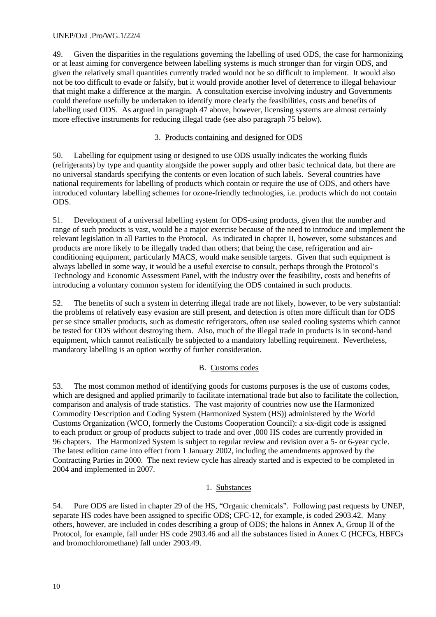49. Given the disparities in the regulations governing the labelling of used ODS, the case for harmonizing or at least aiming for convergence between labelling systems is much stronger than for virgin ODS, and given the relatively small quantities currently traded would not be so difficult to implement. It would also not be too difficult to evade or falsify, but it would provide another level of deterrence to illegal behaviour that might make a difference at the margin. A consultation exercise involving industry and Governments could therefore usefully be undertaken to identify more clearly the feasibilities, costs and benefits of labelling used ODS. As argued in paragraph 47 above, however, licensing systems are almost certainly more effective instruments for reducing illegal trade (see also paragraph 75 below).

# 3. Products containing and designed for ODS

50. Labelling for equipment using or designed to use ODS usually indicates the working fluids (refrigerants) by type and quantity alongside the power supply and other basic technical data, but there are no universal standards specifying the contents or even location of such labels. Several countries have national requirements for labelling of products which contain or require the use of ODS, and others have introduced voluntary labelling schemes for ozone-friendly technologies, i.e. products which do not contain ODS.

51. Development of a universal labelling system for ODS-using products, given that the number and range of such products is vast, would be a major exercise because of the need to introduce and implement the relevant legislation in all Parties to the Protocol. As indicated in chapter II, however, some substances and products are more likely to be illegally traded than others; that being the case, refrigeration and airconditioning equipment, particularly MACS, would make sensible targets. Given that such equipment is always labelled in some way, it would be a useful exercise to consult, perhaps through the Protocol's Technology and Economic Assessment Panel, with the industry over the feasibility, costs and benefits of introducing a voluntary common system for identifying the ODS contained in such products.

52. The benefits of such a system in deterring illegal trade are not likely, however, to be very substantial: the problems of relatively easy evasion are still present, and detection is often more difficult than for ODS per se since smaller products, such as domestic refrigerators, often use sealed cooling systems which cannot be tested for ODS without destroying them. Also, much of the illegal trade in products is in second-hand equipment, which cannot realistically be subjected to a mandatory labelling requirement. Nevertheless, mandatory labelling is an option worthy of further consideration.

# B. Customs codes

53. The most common method of identifying goods for customs purposes is the use of customs codes, which are designed and applied primarily to facilitate international trade but also to facilitate the collection, comparison and analysis of trade statistics. The vast majority of countries now use the Harmonized Commodity Description and Coding System (Harmonized System (HS)) administered by the World Customs Organization (WCO, formerly the Customs Cooperation Council): a six-digit code is assigned to each product or group of products subject to trade and over ,000 HS codes are currently provided in 96 chapters. The Harmonized System is subject to regular review and revision over a 5- or 6-year cycle. The latest edition came into effect from 1 January 2002, including the amendments approved by the Contracting Parties in 2000. The next review cycle has already started and is expected to be completed in 2004 and implemented in 2007.

# 1. Substances

54. Pure ODS are listed in chapter 29 of the HS, "Organic chemicals". Following past requests by UNEP, separate HS codes have been assigned to specific ODS; CFC-12, for example, is coded 2903.42. Many others, however, are included in codes describing a group of ODS; the halons in Annex A, Group II of the Protocol, for example, fall under HS code 2903.46 and all the substances listed in Annex C (HCFCs, HBFCs and bromochloromethane) fall under 2903.49.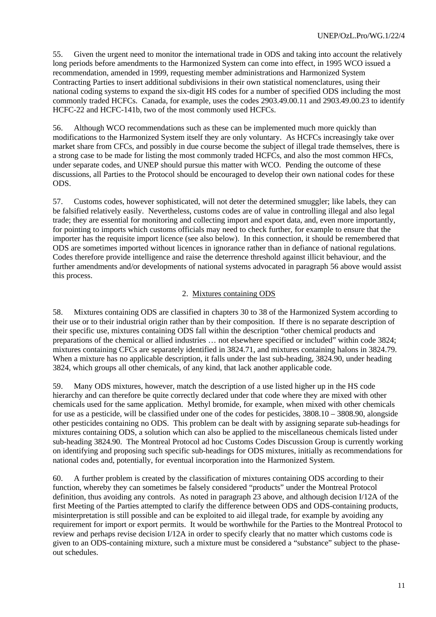55. Given the urgent need to monitor the international trade in ODS and taking into account the relatively long periods before amendments to the Harmonized System can come into effect, in 1995 WCO issued a recommendation, amended in 1999, requesting member administrations and Harmonized System Contracting Parties to insert additional subdivisions in their own statistical nomenclatures, using their national coding systems to expand the six-digit HS codes for a number of specified ODS including the most commonly traded HCFCs. Canada, for example, uses the codes 2903.49.00.11 and 2903.49.00.23 to identify HCFC-22 and HCFC-141b, two of the most commonly used HCFCs.

56. Although WCO recommendations such as these can be implemented much more quickly than modifications to the Harmonized System itself they are only voluntary. As HCFCs increasingly take over market share from CFCs, and possibly in due course become the subject of illegal trade themselves, there is a strong case to be made for listing the most commonly traded HCFCs, and also the most common HFCs, under separate codes, and UNEP should pursue this matter with WCO. Pending the outcome of these discussions, all Parties to the Protocol should be encouraged to develop their own national codes for these ODS.

57. Customs codes, however sophisticated, will not deter the determined smuggler; like labels, they can be falsified relatively easily. Nevertheless, customs codes are of value in controlling illegal and also legal trade; they are essential for monitoring and collecting import and export data, and, even more importantly, for pointing to imports which customs officials may need to check further, for example to ensure that the importer has the requisite import licence (see also below). In this connection, it should be remembered that ODS are sometimes imported without licences in ignorance rather than in defiance of national regulations. Codes therefore provide intelligence and raise the deterrence threshold against illicit behaviour, and the further amendments and/or developments of national systems advocated in paragraph 56 above would assist this process.

# 2. Mixtures containing ODS

58. Mixtures containing ODS are classified in chapters 30 to 38 of the Harmonized System according to their use or to their industrial origin rather than by their composition. If there is no separate description of their specific use, mixtures containing ODS fall within the description "other chemical products and preparations of the chemical or allied industries … not elsewhere specified or included" within code 3824; mixtures containing CFCs are separately identified in 3824.71, and mixtures containing halons in 3824.79. When a mixture has no applicable description, it falls under the last sub-heading, 3824.90, under heading 3824, which groups all other chemicals, of any kind, that lack another applicable code.

59. Many ODS mixtures, however, match the description of a use listed higher up in the HS code hierarchy and can therefore be quite correctly declared under that code where they are mixed with other chemicals used for the same application. Methyl bromide, for example, when mixed with other chemicals for use as a pesticide, will be classified under one of the codes for pesticides, 3808.10 – 3808.90, alongside other pesticides containing no ODS. This problem can be dealt with by assigning separate sub-headings for mixtures containing ODS, a solution which can also be applied to the miscellaneous chemicals listed under sub-heading 3824.90. The Montreal Protocol ad hoc Customs Codes Discussion Group is currently working on identifying and proposing such specific sub-headings for ODS mixtures, initially as recommendations for national codes and, potentially, for eventual incorporation into the Harmonized System.

60. A further problem is created by the classification of mixtures containing ODS according to their function, whereby they can sometimes be falsely considered "products" under the Montreal Protocol definition, thus avoiding any controls. As noted in paragraph 23 above, and although decision I/12A of the first Meeting of the Parties attempted to clarify the difference between ODS and ODS-containing products, misinterpretation is still possible and can be exploited to aid illegal trade, for example by avoiding any requirement for import or export permits. It would be worthwhile for the Parties to the Montreal Protocol to review and perhaps revise decision I/12A in order to specify clearly that no matter which customs code is given to an ODS-containing mixture, such a mixture must be considered a "substance" subject to the phaseout schedules.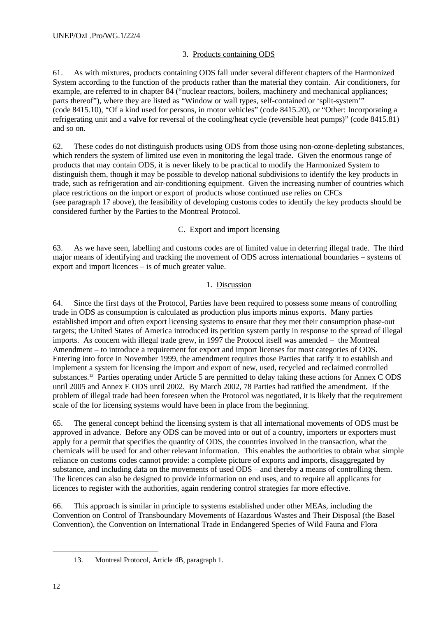# 3. Products containing ODS

61. As with mixtures, products containing ODS fall under several different chapters of the Harmonized System according to the function of the products rather than the material they contain. Air conditioners, for example, are referred to in chapter 84 ("nuclear reactors, boilers, machinery and mechanical appliances; parts thereof"), where they are listed as "Window or wall types, self-contained or 'split-system'" (code 8415.10), "Of a kind used for persons, in motor vehicles" (code 8415.20), or "Other: Incorporating a refrigerating unit and a valve for reversal of the cooling/heat cycle (reversible heat pumps)" (code 8415.81) and so on.

62. These codes do not distinguish products using ODS from those using non-ozone-depleting substances, which renders the system of limited use even in monitoring the legal trade. Given the enormous range of products that may contain ODS, it is never likely to be practical to modify the Harmonized System to distinguish them, though it may be possible to develop national subdivisions to identify the key products in trade, such as refrigeration and air-conditioning equipment. Given the increasing number of countries which place restrictions on the import or export of products whose continued use relies on CFCs (see paragraph 17 above), the feasibility of developing customs codes to identify the key products should be considered further by the Parties to the Montreal Protocol.

# C. Export and import licensing

63. As we have seen, labelling and customs codes are of limited value in deterring illegal trade. The third major means of identifying and tracking the movement of ODS across international boundaries – systems of export and import licences – is of much greater value.

## 1. Discussion

64. Since the first days of the Protocol, Parties have been required to possess some means of controlling trade in ODS as consumption is calculated as production plus imports minus exports. Many parties established import and often export licensing systems to ensure that they met their consumption phase-out targets; the United States of America introduced its petition system partly in response to the spread of illegal imports. As concern with illegal trade grew, in 1997 the Protocol itself was amended – the Montreal Amendment – to introduce a requirement for export and import licenses for most categories of ODS. Entering into force in November 1999, the amendment requires those Parties that ratify it to establish and implement a system for licensing the import and export of new, used, recycled and reclaimed controlled substances.<sup>13</sup> Parties operating under Article 5 are permitted to delay taking these actions for Annex C ODS until 2005 and Annex E ODS until 2002. By March 2002, 78 Parties had ratified the amendment. If the problem of illegal trade had been foreseen when the Protocol was negotiated, it is likely that the requirement scale of the for licensing systems would have been in place from the beginning.

65. The general concept behind the licensing system is that all international movements of ODS must be approved in advance. Before any ODS can be moved into or out of a country, importers or exporters must apply for a permit that specifies the quantity of ODS, the countries involved in the transaction, what the chemicals will be used for and other relevant information. This enables the authorities to obtain what simple reliance on customs codes cannot provide: a complete picture of exports and imports, disaggregated by substance, and including data on the movements of used ODS – and thereby a means of controlling them. The licences can also be designed to provide information on end uses, and to require all applicants for licences to register with the authorities, again rendering control strategies far more effective.

66. This approach is similar in principle to systems established under other MEAs, including the Convention on Control of Transboundary Movements of Hazardous Wastes and Their Disposal (the Basel Convention), the Convention on International Trade in Endangered Species of Wild Fauna and Flora

<sup>13.</sup> Montreal Protocol, Article 4B, paragraph 1.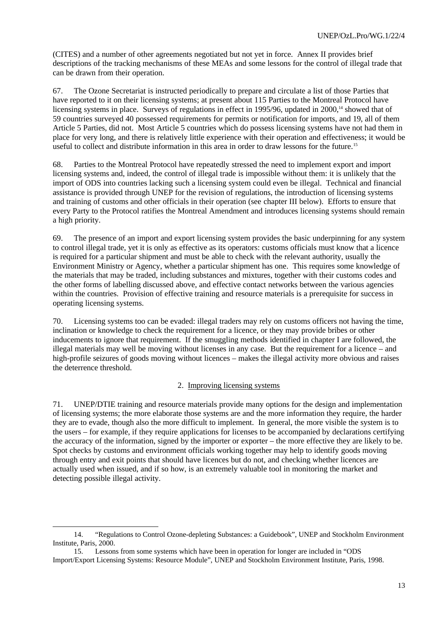(CITES) and a number of other agreements negotiated but not yet in force. Annex II provides brief descriptions of the tracking mechanisms of these MEAs and some lessons for the control of illegal trade that can be drawn from their operation.

67. The Ozone Secretariat is instructed periodically to prepare and circulate a list of those Parties that have reported to it on their licensing systems; at present about 115 Parties to the Montreal Protocol have licensing systems in place. Surveys of regulations in effect in 1995/96, updated in 2000,<sup>14</sup> showed that of 59 countries surveyed 40 possessed requirements for permits or notification for imports, and 19, all of them Article 5 Parties, did not. Most Article 5 countries which do possess licensing systems have not had them in place for very long, and there is relatively little experience with their operation and effectiveness; it would be useful to collect and distribute information in this area in order to draw lessons for the future.<sup>15</sup>

68. Parties to the Montreal Protocol have repeatedly stressed the need to implement export and import licensing systems and, indeed, the control of illegal trade is impossible without them: it is unlikely that the import of ODS into countries lacking such a licensing system could even be illegal. Technical and financial assistance is provided through UNEP for the revision of regulations, the introduction of licensing systems and training of customs and other officials in their operation (see chapter III below). Efforts to ensure that every Party to the Protocol ratifies the Montreal Amendment and introduces licensing systems should remain a high priority.

69. The presence of an import and export licensing system provides the basic underpinning for any system to control illegal trade, yet it is only as effective as its operators: customs officials must know that a licence is required for a particular shipment and must be able to check with the relevant authority, usually the Environment Ministry or Agency, whether a particular shipment has one. This requires some knowledge of the materials that may be traded, including substances and mixtures, together with their customs codes and the other forms of labelling discussed above, and effective contact networks between the various agencies within the countries. Provision of effective training and resource materials is a prerequisite for success in operating licensing systems.

70. Licensing systems too can be evaded: illegal traders may rely on customs officers not having the time, inclination or knowledge to check the requirement for a licence, or they may provide bribes or other inducements to ignore that requirement. If the smuggling methods identified in chapter I are followed, the illegal materials may well be moving without licenses in any case. But the requirement for a licence – and high-profile seizures of goods moving without licences – makes the illegal activity more obvious and raises the deterrence threshold.

### 2. Improving licensing systems

71. UNEP/DTIE training and resource materials provide many options for the design and implementation of licensing systems; the more elaborate those systems are and the more information they require, the harder they are to evade, though also the more difficult to implement. In general, the more visible the system is to the users – for example, if they require applications for licenses to be accompanied by declarations certifying the accuracy of the information, signed by the importer or exporter – the more effective they are likely to be. Spot checks by customs and environment officials working together may help to identify goods moving through entry and exit points that should have licences but do not, and checking whether licences are actually used when issued, and if so how, is an extremely valuable tool in monitoring the market and detecting possible illegal activity.

<sup>14.</sup> "Regulations to Control Ozone-depleting Substances: a Guidebook", UNEP and Stockholm Environment Institute, Paris, 2000.

<sup>15.</sup> Lessons from some systems which have been in operation for longer are included in "ODS Import/Export Licensing Systems: Resource Module", UNEP and Stockholm Environment Institute, Paris, 1998.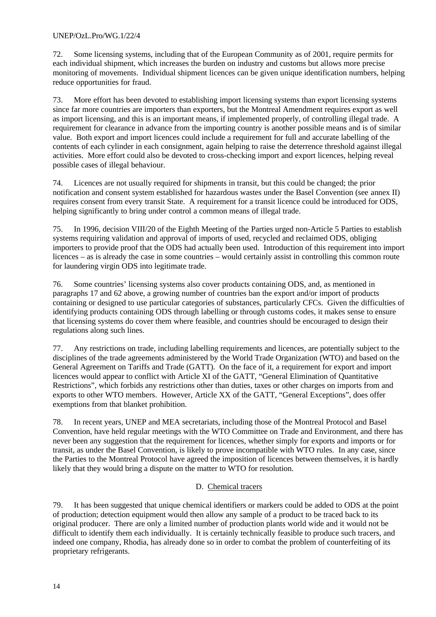72. Some licensing systems, including that of the European Community as of 2001, require permits for each individual shipment, which increases the burden on industry and customs but allows more precise monitoring of movements. Individual shipment licences can be given unique identification numbers, helping reduce opportunities for fraud.

73. More effort has been devoted to establishing import licensing systems than export licensing systems since far more countries are importers than exporters, but the Montreal Amendment requires export as well as import licensing, and this is an important means, if implemented properly, of controlling illegal trade. A requirement for clearance in advance from the importing country is another possible means and is of similar value. Both export and import licences could include a requirement for full and accurate labelling of the contents of each cylinder in each consignment, again helping to raise the deterrence threshold against illegal activities. More effort could also be devoted to cross-checking import and export licences, helping reveal possible cases of illegal behaviour.

74. Licences are not usually required for shipments in transit, but this could be changed; the prior notification and consent system established for hazardous wastes under the Basel Convention (see annex II) requires consent from every transit State. A requirement for a transit licence could be introduced for ODS, helping significantly to bring under control a common means of illegal trade.

75. In 1996, decision VIII/20 of the Eighth Meeting of the Parties urged non-Article 5 Parties to establish systems requiring validation and approval of imports of used, recycled and reclaimed ODS, obliging importers to provide proof that the ODS had actually been used. Introduction of this requirement into import licences – as is already the case in some countries – would certainly assist in controlling this common route for laundering virgin ODS into legitimate trade.

76. Some countries' licensing systems also cover products containing ODS, and, as mentioned in paragraphs 17 and 62 above, a growing number of countries ban the export and/or import of products containing or designed to use particular categories of substances, particularly CFCs. Given the difficulties of identifying products containing ODS through labelling or through customs codes, it makes sense to ensure that licensing systems do cover them where feasible, and countries should be encouraged to design their regulations along such lines.

77. Any restrictions on trade, including labelling requirements and licences, are potentially subject to the disciplines of the trade agreements administered by the World Trade Organization (WTO) and based on the General Agreement on Tariffs and Trade (GATT). On the face of it, a requirement for export and import licences would appear to conflict with Article XI of the GATT, "General Elimination of Quantitative Restrictions", which forbids any restrictions other than duties, taxes or other charges on imports from and exports to other WTO members. However, Article XX of the GATT, "General Exceptions", does offer exemptions from that blanket prohibition.

78. In recent years, UNEP and MEA secretariats, including those of the Montreal Protocol and Basel Convention, have held regular meetings with the WTO Committee on Trade and Environment, and there has never been any suggestion that the requirement for licences, whether simply for exports and imports or for transit, as under the Basel Convention, is likely to prove incompatible with WTO rules. In any case, since the Parties to the Montreal Protocol have agreed the imposition of licences between themselves, it is hardly likely that they would bring a dispute on the matter to WTO for resolution.

# D. Chemical tracers

79. It has been suggested that unique chemical identifiers or markers could be added to ODS at the point of production; detection equipment would then allow any sample of a product to be traced back to its original producer. There are only a limited number of production plants world wide and it would not be difficult to identify them each individually. It is certainly technically feasible to produce such tracers, and indeed one company, Rhodia, has already done so in order to combat the problem of counterfeiting of its proprietary refrigerants.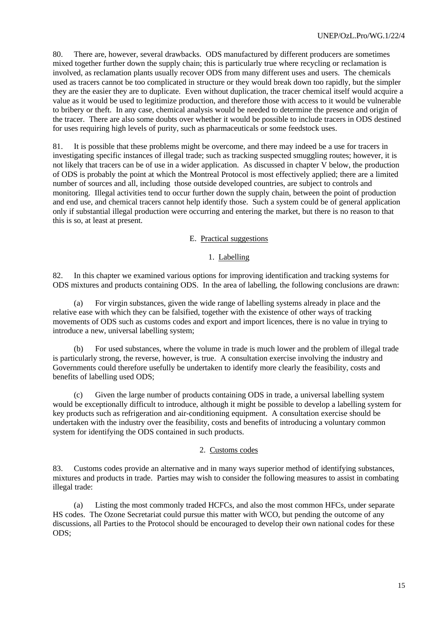80. There are, however, several drawbacks. ODS manufactured by different producers are sometimes mixed together further down the supply chain; this is particularly true where recycling or reclamation is involved, as reclamation plants usually recover ODS from many different uses and users. The chemicals used as tracers cannot be too complicated in structure or they would break down too rapidly, but the simpler they are the easier they are to duplicate. Even without duplication, the tracer chemical itself would acquire a value as it would be used to legitimize production, and therefore those with access to it would be vulnerable to bribery or theft. In any case, chemical analysis would be needed to determine the presence and origin of the tracer. There are also some doubts over whether it would be possible to include tracers in ODS destined for uses requiring high levels of purity, such as pharmaceuticals or some feedstock uses.

81. It is possible that these problems might be overcome, and there may indeed be a use for tracers in investigating specific instances of illegal trade; such as tracking suspected smuggling routes; however, it is not likely that tracers can be of use in a wider application. As discussed in chapter V below, the production of ODS is probably the point at which the Montreal Protocol is most effectively applied; there are a limited number of sources and all, including those outside developed countries, are subject to controls and monitoring. Illegal activities tend to occur further down the supply chain, between the point of production and end use, and chemical tracers cannot help identify those. Such a system could be of general application only if substantial illegal production were occurring and entering the market, but there is no reason to that this is so, at least at present.

### E. Practical suggestions

#### 1. Labelling

82. In this chapter we examined various options for improving identification and tracking systems for ODS mixtures and products containing ODS. In the area of labelling*,* the following conclusions are drawn:

(a) For virgin substances, given the wide range of labelling systems already in place and the relative ease with which they can be falsified, together with the existence of other ways of tracking movements of ODS such as customs codes and export and import licences, there is no value in trying to introduce a new, universal labelling system;

(b) For used substances, where the volume in trade is much lower and the problem of illegal trade is particularly strong, the reverse, however, is true. A consultation exercise involving the industry and Governments could therefore usefully be undertaken to identify more clearly the feasibility, costs and benefits of labelling used ODS;

(c) Given the large number of products containing ODS in trade, a universal labelling system would be exceptionally difficult to introduce, although it might be possible to develop a labelling system for key products such as refrigeration and air-conditioning equipment. A consultation exercise should be undertaken with the industry over the feasibility, costs and benefits of introducing a voluntary common system for identifying the ODS contained in such products.

#### 2. Customs codes

83. Customs codes provide an alternative and in many ways superior method of identifying substances, mixtures and products in trade. Parties may wish to consider the following measures to assist in combating illegal trade:

(a) Listing the most commonly traded HCFCs, and also the most common HFCs, under separate HS codes. The Ozone Secretariat could pursue this matter with WCO, but pending the outcome of any discussions, all Parties to the Protocol should be encouraged to develop their own national codes for these ODS;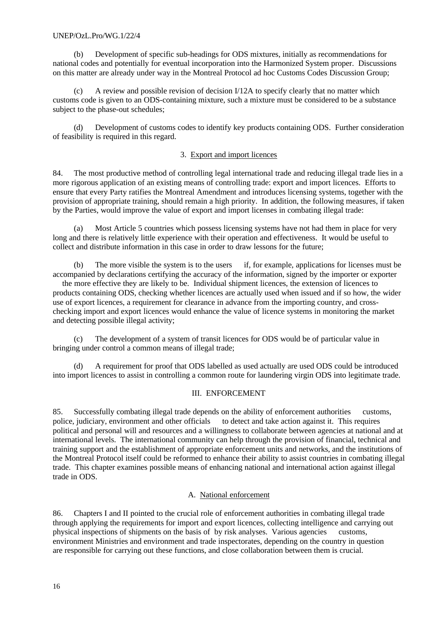### UNEP/OzL.Pro/WG.1/22/4

(b) Development of specific sub-headings for ODS mixtures, initially as recommendations for national codes and potentially for eventual incorporation into the Harmonized System proper. Discussions on this matter are already under way in the Montreal Protocol ad hoc Customs Codes Discussion Group;

(c) A review and possible revision of decision I/12A to specify clearly that no matter which customs code is given to an ODS-containing mixture, such a mixture must be considered to be a substance subject to the phase-out schedules;

(d) Development of customs codes to identify key products containing ODS. Further consideration of feasibility is required in this regard.

### 3. Export and import licences

84. The most productive method of controlling legal international trade and reducing illegal trade lies in a more rigorous application of an existing means of controlling trade: export and import licences. Efforts to ensure that every Party ratifies the Montreal Amendment and introduces licensing systems, together with the provision of appropriate training, should remain a high priority. In addition, the following measures, if taken by the Parties, would improve the value of export and import licenses in combating illegal trade:

(a) Most Article 5 countries which possess licensing systems have not had them in place for very long and there is relatively little experience with their operation and effectiveness. It would be useful to collect and distribute information in this case in order to draw lessons for the future;

(b) The more visible the system is to the users if, for example, applications for licenses must be accompanied by declarations certifying the accuracy of the information, signed by the importer or exporter

 the more effective they are likely to be. Individual shipment licences, the extension of licences to products containing ODS, checking whether licences are actually used when issued and if so how, the wider use of export licences, a requirement for clearance in advance from the importing country, and crosschecking import and export licences would enhance the value of licence systems in monitoring the market and detecting possible illegal activity;

(c) The development of a system of transit licences for ODS would be of particular value in bringing under control a common means of illegal trade;

(d) A requirement for proof that ODS labelled as used actually are used ODS could be introduced into import licences to assist in controlling a common route for laundering virgin ODS into legitimate trade.

### III. ENFORCEMENT

85. Successfully combating illegal trade depends on the ability of enforcement authorities customs, police, judiciary, environment and other officials to detect and take action against it. This requires political and personal will and resources and a willingness to collaborate between agencies at national and at international levels. The international community can help through the provision of financial, technical and training support and the establishment of appropriate enforcement units and networks, and the institutions of the Montreal Protocol itself could be reformed to enhance their ability to assist countries in combating illegal trade. This chapter examines possible means of enhancing national and international action against illegal trade in ODS.

# A. National enforcement

86. Chapters I and II pointed to the crucial role of enforcement authorities in combating illegal trade through applying the requirements for import and export licences, collecting intelligence and carrying out physical inspections of shipments on the basis of by risk analyses. Various agencies customs, environment Ministries and environment and trade inspectorates, depending on the country in question are responsible for carrying out these functions, and close collaboration between them is crucial.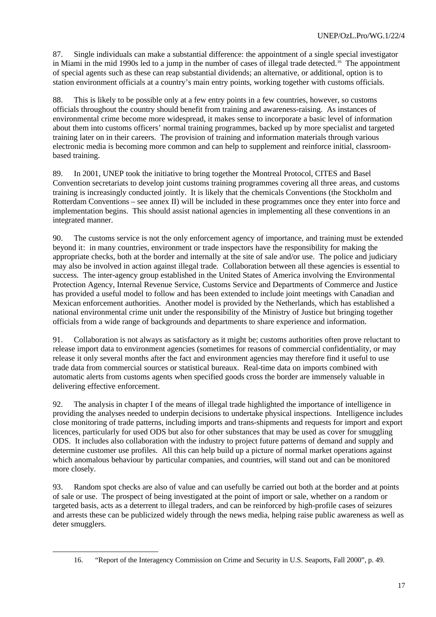87. Single individuals can make a substantial difference: the appointment of a single special investigator in Miami in the mid 1990s led to a jump in the number of cases of illegal trade detected.<sup>16</sup> The appointment of special agents such as these can reap substantial dividends; an alternative, or additional, option is to station environment officials at a country's main entry points, working together with customs officials.

88. This is likely to be possible only at a few entry points in a few countries, however, so customs officials throughout the country should benefit from training and awareness-raising. As instances of environmental crime become more widespread, it makes sense to incorporate a basic level of information about them into customs officers' normal training programmes, backed up by more specialist and targeted training later on in their careers. The provision of training and information materials through various electronic media is becoming more common and can help to supplement and reinforce initial, classroombased training.

89. In 2001, UNEP took the initiative to bring together the Montreal Protocol, CITES and Basel Convention secretariats to develop joint customs training programmes covering all three areas, and customs training is increasingly conducted jointly. It is likely that the chemicals Conventions (the Stockholm and Rotterdam Conventions – see annex II) will be included in these programmes once they enter into force and implementation begins. This should assist national agencies in implementing all these conventions in an integrated manner.

90. The customs service is not the only enforcement agency of importance, and training must be extended beyond it: in many countries, environment or trade inspectors have the responsibility for making the appropriate checks, both at the border and internally at the site of sale and/or use. The police and judiciary may also be involved in action against illegal trade. Collaboration between all these agencies is essential to success. The inter-agency group established in the United States of America involving the Environmental Protection Agency, Internal Revenue Service, Customs Service and Departments of Commerce and Justice has provided a useful model to follow and has been extended to include joint meetings with Canadian and Mexican enforcement authorities. Another model is provided by the Netherlands, which has established a national environmental crime unit under the responsibility of the Ministry of Justice but bringing together officials from a wide range of backgrounds and departments to share experience and information.

91. Collaboration is not always as satisfactory as it might be; customs authorities often prove reluctant to release import data to environment agencies (sometimes for reasons of commercial confidentiality, or may release it only several months after the fact and environment agencies may therefore find it useful to use trade data from commercial sources or statistical bureaux. Real-time data on imports combined with automatic alerts from customs agents when specified goods cross the border are immensely valuable in delivering effective enforcement.

92. The analysis in chapter I of the means of illegal trade highlighted the importance of intelligence in providing the analyses needed to underpin decisions to undertake physical inspections. Intelligence includes close monitoring of trade patterns, including imports and trans-shipments and requests for import and export licences, particularly for used ODS but also for other substances that may be used as cover for smuggling ODS. It includes also collaboration with the industry to project future patterns of demand and supply and determine customer use profiles. All this can help build up a picture of normal market operations against which anomalous behaviour by particular companies, and countries, will stand out and can be monitored more closely.

93. Random spot checks are also of value and can usefully be carried out both at the border and at points of sale or use. The prospect of being investigated at the point of import or sale, whether on a random or targeted basis, acts as a deterrent to illegal traders, and can be reinforced by high-profile cases of seizures and arrests these can be publicized widely through the news media, helping raise public awareness as well as deter smugglers.

<sup>16.</sup> "Report of the Interagency Commission on Crime and Security in U.S. Seaports, Fall 2000", p. 49.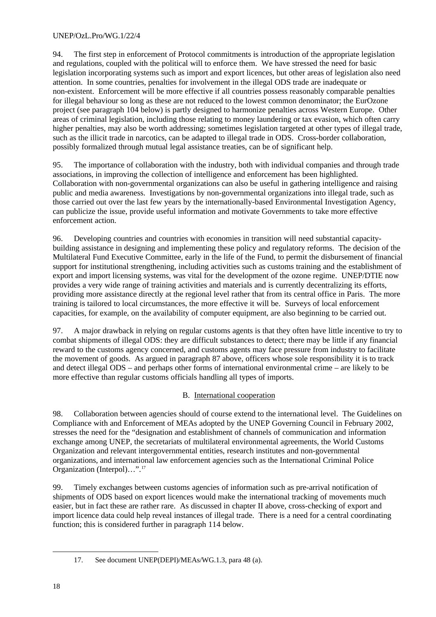94. The first step in enforcement of Protocol commitments is introduction of the appropriate legislation and regulations, coupled with the political will to enforce them. We have stressed the need for basic legislation incorporating systems such as import and export licences, but other areas of legislation also need attention. In some countries, penalties for involvement in the illegal ODS trade are inadequate or non-existent. Enforcement will be more effective if all countries possess reasonably comparable penalties for illegal behaviour so long as these are not reduced to the lowest common denominator; the EurOzone project (see paragraph 104 below) is partly designed to harmonize penalties across Western Europe. Other areas of criminal legislation, including those relating to money laundering or tax evasion, which often carry higher penalties, may also be worth addressing; sometimes legislation targeted at other types of illegal trade, such as the illicit trade in narcotics, can be adapted to illegal trade in ODS. Cross-border collaboration, possibly formalized through mutual legal assistance treaties, can be of significant help.

95. The importance of collaboration with the industry, both with individual companies and through trade associations, in improving the collection of intelligence and enforcement has been highlighted. Collaboration with non-governmental organizations can also be useful in gathering intelligence and raising public and media awareness. Investigations by non-governmental organizations into illegal trade, such as those carried out over the last few years by the internationally-based Environmental Investigation Agency, can publicize the issue, provide useful information and motivate Governments to take more effective enforcement action.

96. Developing countries and countries with economies in transition will need substantial capacitybuilding assistance in designing and implementing these policy and regulatory reforms. The decision of the Multilateral Fund Executive Committee, early in the life of the Fund, to permit the disbursement of financial support for institutional strengthening, including activities such as customs training and the establishment of export and import licensing systems, was vital for the development of the ozone regime. UNEP/DTIE now provides a very wide range of training activities and materials and is currently decentralizing its efforts, providing more assistance directly at the regional level rather that from its central office in Paris. The more training is tailored to local circumstances, the more effective it will be. Surveys of local enforcement capacities, for example, on the availability of computer equipment, are also beginning to be carried out.

97. A major drawback in relying on regular customs agents is that they often have little incentive to try to combat shipments of illegal ODS: they are difficult substances to detect; there may be little if any financial reward to the customs agency concerned, and customs agents may face pressure from industry to facilitate the movement of goods. As argued in paragraph 87 above, officers whose sole responsibility it is to track and detect illegal ODS – and perhaps other forms of international environmental crime – are likely to be more effective than regular customs officials handling all types of imports.

# B. International cooperation

98. Collaboration between agencies should of course extend to the international level. The Guidelines on Compliance with and Enforcement of MEAs adopted by the UNEP Governing Council in February 2002, stresses the need for the "designation and establishment of channels of communication and information exchange among UNEP, the secretariats of multilateral environmental agreements, the World Customs Organization and relevant intergovernmental entities, research institutes and non-governmental organizations, and international law enforcement agencies such as the International Criminal Police Organization (Interpol)…".<sup>17</sup>

99. Timely exchanges between customs agencies of information such as pre-arrival notification of shipments of ODS based on export licences would make the international tracking of movements much easier, but in fact these are rather rare. As discussed in chapter II above, cross-checking of export and import licence data could help reveal instances of illegal trade. There is a need for a central coordinating function; this is considered further in paragraph 114 below.

<sup>17.</sup> See document UNEP(DEPI)/MEAs/WG.1.3, para 48 (a).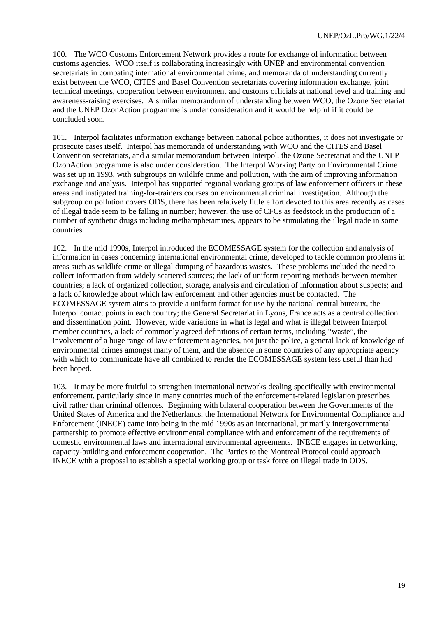100. The WCO Customs Enforcement Network provides a route for exchange of information between customs agencies. WCO itself is collaborating increasingly with UNEP and environmental convention secretariats in combating international environmental crime, and memoranda of understanding currently exist between the WCO, CITES and Basel Convention secretariats covering information exchange, joint technical meetings, cooperation between environment and customs officials at national level and training and awareness-raising exercises. A similar memorandum of understanding between WCO, the Ozone Secretariat and the UNEP OzonAction programme is under consideration and it would be helpful if it could be concluded soon.

101. Interpol facilitates information exchange between national police authorities, it does not investigate or prosecute cases itself. Interpol has memoranda of understanding with WCO and the CITES and Basel Convention secretariats, and a similar memorandum between Interpol, the Ozone Secretariat and the UNEP OzonAction programme is also under consideration. The Interpol Working Party on Environmental Crime was set up in 1993, with subgroups on wildlife crime and pollution, with the aim of improving information exchange and analysis. Interpol has supported regional working groups of law enforcement officers in these areas and instigated training-for-trainers courses on environmental criminal investigation. Although the subgroup on pollution covers ODS, there has been relatively little effort devoted to this area recently as cases of illegal trade seem to be falling in number; however, the use of CFCs as feedstock in the production of a number of synthetic drugs including methamphetamines, appears to be stimulating the illegal trade in some countries.

102. In the mid 1990s, Interpol introduced the ECOMESSAGE system for the collection and analysis of information in cases concerning international environmental crime, developed to tackle common problems in areas such as wildlife crime or illegal dumping of hazardous wastes. These problems included the need to collect information from widely scattered sources; the lack of uniform reporting methods between member countries; a lack of organized collection, storage, analysis and circulation of information about suspects; and a lack of knowledge about which law enforcement and other agencies must be contacted. The ECOMESSAGE system aims to provide a uniform format for use by the national central bureaux, the Interpol contact points in each country; the General Secretariat in Lyons, France acts as a central collection and dissemination point. However, wide variations in what is legal and what is illegal between Interpol member countries, a lack of commonly agreed definitions of certain terms, including "waste", the involvement of a huge range of law enforcement agencies, not just the police, a general lack of knowledge of environmental crimes amongst many of them, and the absence in some countries of any appropriate agency with which to communicate have all combined to render the ECOMESSAGE system less useful than had been hoped.

103. It may be more fruitful to strengthen international networks dealing specifically with environmental enforcement, particularly since in many countries much of the enforcement-related legislation prescribes civil rather than criminal offences. Beginning with bilateral cooperation between the Governments of the United States of America and the Netherlands, the International Network for Environmental Compliance and Enforcement (INECE) came into being in the mid 1990s as an international, primarily intergovernmental partnership to promote effective environmental compliance with and enforcement of the requirements of domestic environmental laws and international environmental agreements. INECE engages in networking, capacity-building and enforcement cooperation. The Parties to the Montreal Protocol could approach INECE with a proposal to establish a special working group or task force on illegal trade in ODS.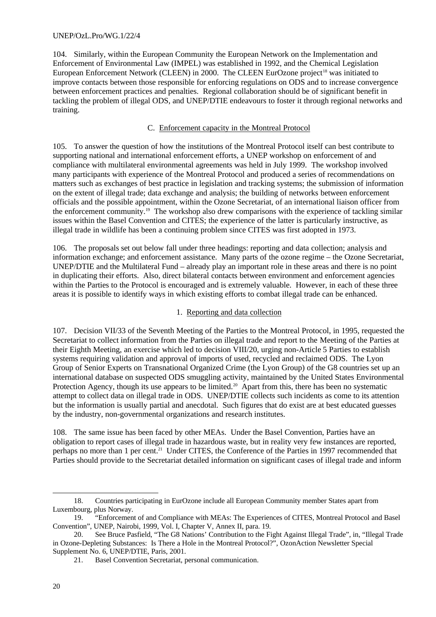104. Similarly, within the European Community the European Network on the Implementation and Enforcement of Environmental Law (IMPEL) was established in 1992, and the Chemical Legislation European Enforcement Network (CLEEN) in 2000. The CLEEN EurOzone project<sup>18</sup> was initiated to improve contacts between those responsible for enforcing regulations on ODS and to increase convergence between enforcement practices and penalties. Regional collaboration should be of significant benefit in tackling the problem of illegal ODS, and UNEP/DTIE endeavours to foster it through regional networks and training.

# C. Enforcement capacity in the Montreal Protocol

105. To answer the question of how the institutions of the Montreal Protocol itself can best contribute to supporting national and international enforcement efforts, a UNEP workshop on enforcement of and compliance with multilateral environmental agreements was held in July 1999. The workshop involved many participants with experience of the Montreal Protocol and produced a series of recommendations on matters such as exchanges of best practice in legislation and tracking systems; the submission of information on the extent of illegal trade; data exchange and analysis; the building of networks between enforcement officials and the possible appointment, within the Ozone Secretariat, of an international liaison officer from the enforcement community.<sup>19</sup> The workshop also drew comparisons with the experience of tackling similar issues within the Basel Convention and CITES; the experience of the latter is particularly instructive, as illegal trade in wildlife has been a continuing problem since CITES was first adopted in 1973.

106. The proposals set out below fall under three headings: reporting and data collection; analysis and information exchange; and enforcement assistance. Many parts of the ozone regime – the Ozone Secretariat, UNEP/DTIE and the Multilateral Fund – already play an important role in these areas and there is no point in duplicating their efforts. Also, direct bilateral contacts between environment and enforcement agencies within the Parties to the Protocol is encouraged and is extremely valuable. However, in each of these three areas it is possible to identify ways in which existing efforts to combat illegal trade can be enhanced.

# 1. Reporting and data collection

107. Decision VII/33 of the Seventh Meeting of the Parties to the Montreal Protocol, in 1995, requested the Secretariat to collect information from the Parties on illegal trade and report to the Meeting of the Parties at their Eighth Meeting, an exercise which led to decision VIII/20, urging non-Article 5 Parties to establish systems requiring validation and approval of imports of used, recycled and reclaimed ODS. The Lyon Group of Senior Experts on Transnational Organized Crime (the Lyon Group) of the G8 countries set up an international database on suspected ODS smuggling activity, maintained by the United States Environmental Protection Agency, though its use appears to be limited.<sup>20</sup> Apart from this, there has been no systematic attempt to collect data on illegal trade in ODS. UNEP/DTIE collects such incidents as come to its attention but the information is usually partial and anecdotal. Such figures that do exist are at best educated guesses by the industry, non-governmental organizations and research institutes.

108. The same issue has been faced by other MEAs. Under the Basel Convention, Parties have an obligation to report cases of illegal trade in hazardous waste, but in reality very few instances are reported, perhaps no more than 1 per cent.<sup>21</sup> Under CITES, the Conference of the Parties in 1997 recommended that Parties should provide to the Secretariat detailed information on significant cases of illegal trade and inform

 $\overline{a}$ 18. Countries participating in EurOzone include all European Community member States apart from Luxembourg, plus Norway.

<sup>19.</sup> "Enforcement of and Compliance with MEAs: The Experiences of CITES, Montreal Protocol and Basel Convention", UNEP, Nairobi, 1999, Vol. I, Chapter V, Annex II, para. 19.

<sup>20.</sup> See Bruce Pasfield, "The G8 Nations' Contribution to the Fight Against Illegal Trade", in, "Illegal Trade in Ozone-Depleting Substances: Is There a Hole in the Montreal Protocol?", OzonAction Newsletter Special Supplement No. 6, UNEP/DTIE, Paris, 2001.

<sup>21.</sup> Basel Convention Secretariat, personal communication.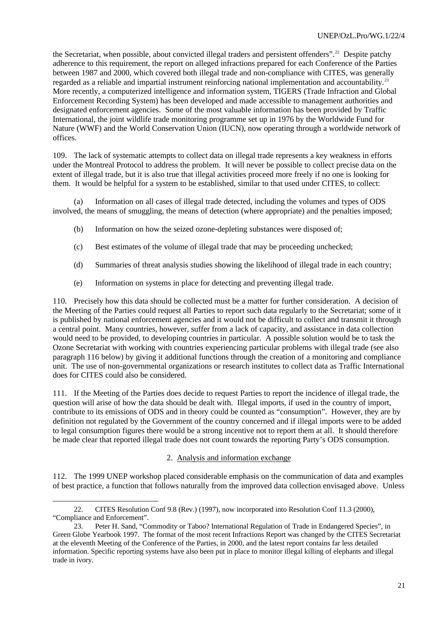the Secretariat, when possible, about convicted illegal traders and persistent offenders".<sup>22</sup> Despite patchy adherence to this requirement, the report on alleged infractions prepared for each Conference of the Parties between 1987 and 2000, which covered both illegal trade and non-compliance with CITES, was generally regarded as a reliable and impartial instrument reinforcing national implementation and accountability.<sup>23</sup> More recently, a computerized intelligence and information system, TIGERS (Trade Infraction and Global Enforcement Recording System) has been developed and made accessible to management authorities and designated enforcement agencies. Some of the most valuable information has been provided by Traffic International, the joint wildlife trade monitoring programme set up in 1976 by the Worldwide Fund for Nature (WWF) and the World Conservation Union (IUCN), now operating through a worldwide network of offices.

109. The lack of systematic attempts to collect data on illegal trade represents a key weakness in efforts under the Montreal Protocol to address the problem. It will never be possible to collect precise data on the extent of illegal trade, but it is also true that illegal activities proceed more freely if no one is looking for them. It would be helpful for a system to be established, similar to that used under CITES, to collect:

(a) Information on all cases of illegal trade detected, including the volumes and types of ODS involved, the means of smuggling, the means of detection (where appropriate) and the penalties imposed;

- (b) Information on how the seized ozone-depleting substances were disposed of;
- (c) Best estimates of the volume of illegal trade that may be proceeding unchecked;
- (d) Summaries of threat analysis studies showing the likelihood of illegal trade in each country;
- (e) Information on systems in place for detecting and preventing illegal trade.

110. Precisely how this data should be collected must be a matter for further consideration. A decision of the Meeting of the Parties could request all Parties to report such data regularly to the Secretariat; some of it is published by national enforcement agencies and it would not be difficult to collect and transmit it through a central point. Many countries, however, suffer from a lack of capacity, and assistance in data collection would need to be provided, to developing countries in particular. A possible solution would be to task the Ozone Secretariat with working with countries experiencing particular problems with illegal trade (see also paragraph 116 below) by giving it additional functions through the creation of a monitoring and compliance unit. The use of non-governmental organizations or research institutes to collect data as Traffic International does for CITES could also be considered.

111. If the Meeting of the Parties does decide to request Parties to report the incidence of illegal trade, the question will arise of how the data should be dealt with. Illegal imports, if used in the country of import, contribute to its emissions of ODS and in theory could be counted as "consumption". However, they are by definition not regulated by the Government of the country concerned and if illegal imports were to be added to legal consumption figures there would be a strong incentive not to report them at all. It should therefore be made clear that reported illegal trade does not count towards the reporting Party's ODS consumption.

### 2. Analysis and information exchange

112. The 1999 UNEP workshop placed considerable emphasis on the communication of data and examples of best practice, a function that follows naturally from the improved data collection envisaged above. Unless

l

<sup>22.</sup> CITES Resolution Conf 9.8 (Rev.) (1997), now incorporated into Resolution Conf 11.3 (2000), "Compliance and Enforcement".

<sup>23.</sup> Peter H. Sand, "Commodity or Taboo? International Regulation of Trade in Endangered Species", in Green Globe Yearbook 1997. The format of the most recent Infractions Report was changed by the CITES Secretariat at the eleventh Meeting of the Conference of the Parties, in 2000, and the latest report contains far less detailed information. Specific reporting systems have also been put in place to monitor illegal killing of elephants and illegal trade in ivory.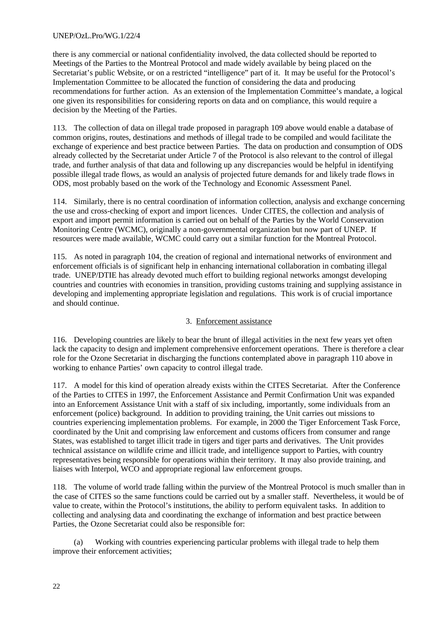## UNEP/OzL.Pro/WG.1/22/4

there is any commercial or national confidentiality involved, the data collected should be reported to Meetings of the Parties to the Montreal Protocol and made widely available by being placed on the Secretariat's public Website, or on a restricted "intelligence" part of it. It may be useful for the Protocol's Implementation Committee to be allocated the function of considering the data and producing recommendations for further action. As an extension of the Implementation Committee's mandate, a logical one given its responsibilities for considering reports on data and on compliance, this would require a decision by the Meeting of the Parties.

113. The collection of data on illegal trade proposed in paragraph 109 above would enable a database of common origins, routes, destinations and methods of illegal trade to be compiled and would facilitate the exchange of experience and best practice between Parties. The data on production and consumption of ODS already collected by the Secretariat under Article 7 of the Protocol is also relevant to the control of illegal trade, and further analysis of that data and following up any discrepancies would be helpful in identifying possible illegal trade flows, as would an analysis of projected future demands for and likely trade flows in ODS, most probably based on the work of the Technology and Economic Assessment Panel.

114. Similarly, there is no central coordination of information collection, analysis and exchange concerning the use and cross-checking of export and import licences. Under CITES, the collection and analysis of export and import permit information is carried out on behalf of the Parties by the World Conservation Monitoring Centre (WCMC), originally a non-governmental organization but now part of UNEP. If resources were made available, WCMC could carry out a similar function for the Montreal Protocol.

115. As noted in paragraph 104, the creation of regional and international networks of environment and enforcement officials is of significant help in enhancing international collaboration in combating illegal trade. UNEP/DTIE has already devoted much effort to building regional networks amongst developing countries and countries with economies in transition, providing customs training and supplying assistance in developing and implementing appropriate legislation and regulations. This work is of crucial importance and should continue.

# 3. Enforcement assistance

116. Developing countries are likely to bear the brunt of illegal activities in the next few years yet often lack the capacity to design and implement comprehensive enforcement operations. There is therefore a clear role for the Ozone Secretariat in discharging the functions contemplated above in paragraph 110 above in working to enhance Parties' own capacity to control illegal trade.

117. A model for this kind of operation already exists within the CITES Secretariat. After the Conference of the Parties to CITES in 1997, the Enforcement Assistance and Permit Confirmation Unit was expanded into an Enforcement Assistance Unit with a staff of six including, importantly, some individuals from an enforcement (police) background. In addition to providing training, the Unit carries out missions to countries experiencing implementation problems. For example, in 2000 the Tiger Enforcement Task Force, coordinated by the Unit and comprising law enforcement and customs officers from consumer and range States, was established to target illicit trade in tigers and tiger parts and derivatives. The Unit provides technical assistance on wildlife crime and illicit trade, and intelligence support to Parties, with country representatives being responsible for operations within their territory. It may also provide training, and liaises with Interpol, WCO and appropriate regional law enforcement groups.

118. The volume of world trade falling within the purview of the Montreal Protocol is much smaller than in the case of CITES so the same functions could be carried out by a smaller staff. Nevertheless, it would be of value to create, within the Protocol's institutions, the ability to perform equivalent tasks. In addition to collecting and analysing data and coordinating the exchange of information and best practice between Parties, the Ozone Secretariat could also be responsible for:

(a) Working with countries experiencing particular problems with illegal trade to help them improve their enforcement activities;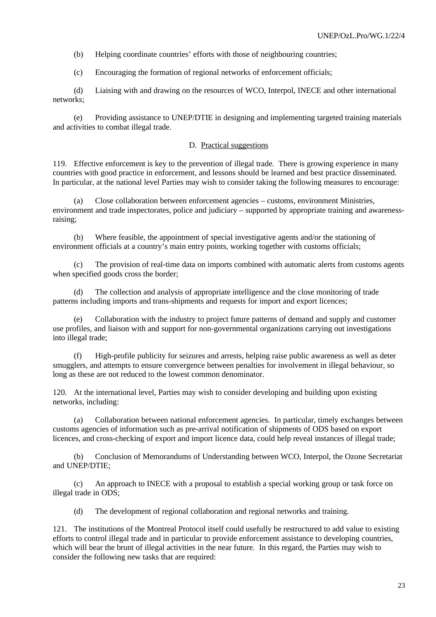(b) Helping coordinate countries' efforts with those of neighbouring countries;

(c) Encouraging the formation of regional networks of enforcement officials;

(d) Liaising with and drawing on the resources of WCO, Interpol, INECE and other international networks;

(e) Providing assistance to UNEP/DTIE in designing and implementing targeted training materials and activities to combat illegal trade.

### D. Practical suggestions

119. Effective enforcement is key to the prevention of illegal trade. There is growing experience in many countries with good practice in enforcement, and lessons should be learned and best practice disseminated. In particular, at the national level Parties may wish to consider taking the following measures to encourage:

(a) Close collaboration between enforcement agencies – customs, environment Ministries, environment and trade inspectorates, police and judiciary – supported by appropriate training and awarenessraising;

(b) Where feasible, the appointment of special investigative agents and/or the stationing of environment officials at a country's main entry points, working together with customs officials;

(c) The provision of real-time data on imports combined with automatic alerts from customs agents when specified goods cross the border;

The collection and analysis of appropriate intelligence and the close monitoring of trade patterns including imports and trans-shipments and requests for import and export licences;

(e) Collaboration with the industry to project future patterns of demand and supply and customer use profiles, and liaison with and support for non-governmental organizations carrying out investigations into illegal trade;

(f) High-profile publicity for seizures and arrests, helping raise public awareness as well as deter smugglers, and attempts to ensure convergence between penalties for involvement in illegal behaviour, so long as these are not reduced to the lowest common denominator.

120. At the international level, Parties may wish to consider developing and building upon existing networks, including:

(a) Collaboration between national enforcement agencies. In particular, timely exchanges between customs agencies of information such as pre-arrival notification of shipments of ODS based on export licences, and cross-checking of export and import licence data, could help reveal instances of illegal trade;

(b) Conclusion of Memorandums of Understanding between WCO, Interpol, the Ozone Secretariat and UNEP/DTIE;

(c) An approach to INECE with a proposal to establish a special working group or task force on illegal trade in ODS;

(d) The development of regional collaboration and regional networks and training.

121. The institutions of the Montreal Protocol itself could usefully be restructured to add value to existing efforts to control illegal trade and in particular to provide enforcement assistance to developing countries, which will bear the brunt of illegal activities in the near future. In this regard, the Parties may wish to consider the following new tasks that are required: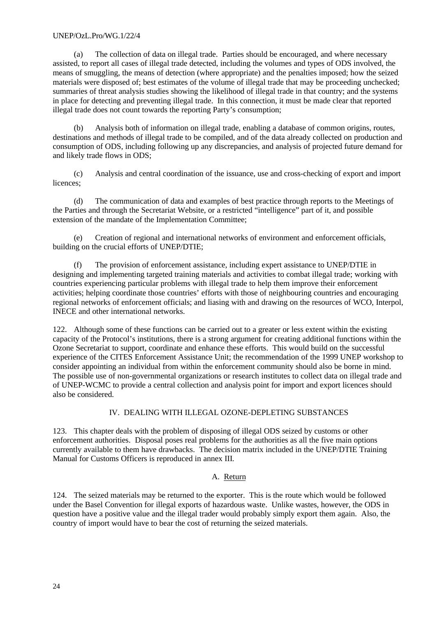## UNEP/OzL.Pro/WG.1/22/4

(a) The collection of data on illegal trade. Parties should be encouraged, and where necessary assisted, to report all cases of illegal trade detected, including the volumes and types of ODS involved, the means of smuggling, the means of detection (where appropriate) and the penalties imposed; how the seized materials were disposed of; best estimates of the volume of illegal trade that may be proceeding unchecked; summaries of threat analysis studies showing the likelihood of illegal trade in that country; and the systems in place for detecting and preventing illegal trade. In this connection, it must be made clear that reported illegal trade does not count towards the reporting Party's consumption;

(b) Analysis both of information on illegal trade, enabling a database of common origins, routes, destinations and methods of illegal trade to be compiled, and of the data already collected on production and consumption of ODS, including following up any discrepancies, and analysis of projected future demand for and likely trade flows in ODS;

(c) Analysis and central coordination of the issuance, use and cross-checking of export and import licences;

(d) The communication of data and examples of best practice through reports to the Meetings of the Parties and through the Secretariat Website, or a restricted "intelligence" part of it, and possible extension of the mandate of the Implementation Committee;

(e) Creation of regional and international networks of environment and enforcement officials, building on the crucial efforts of UNEP/DTIE;

(f) The provision of enforcement assistance, including expert assistance to UNEP/DTIE in designing and implementing targeted training materials and activities to combat illegal trade; working with countries experiencing particular problems with illegal trade to help them improve their enforcement activities; helping coordinate those countries' efforts with those of neighbouring countries and encouraging regional networks of enforcement officials; and liasing with and drawing on the resources of WCO, Interpol, INECE and other international networks.

122. Although some of these functions can be carried out to a greater or less extent within the existing capacity of the Protocol's institutions, there is a strong argument for creating additional functions within the Ozone Secretariat to support, coordinate and enhance these efforts. This would build on the successful experience of the CITES Enforcement Assistance Unit; the recommendation of the 1999 UNEP workshop to consider appointing an individual from within the enforcement community should also be borne in mind. The possible use of non-governmental organizations or research institutes to collect data on illegal trade and of UNEP-WCMC to provide a central collection and analysis point for import and export licences should also be considered.

# IV. DEALING WITH ILLEGAL OZONE-DEPLETING SUBSTANCES

123. This chapter deals with the problem of disposing of illegal ODS seized by customs or other enforcement authorities. Disposal poses real problems for the authorities as all the five main options currently available to them have drawbacks. The decision matrix included in the UNEP/DTIE Training Manual for Customs Officers is reproduced in annex III*.*

### A. Return

124. The seized materials may be returned to the exporter. This is the route which would be followed under the Basel Convention for illegal exports of hazardous waste. Unlike wastes, however, the ODS in question have a positive value and the illegal trader would probably simply export them again. Also, the country of import would have to bear the cost of returning the seized materials.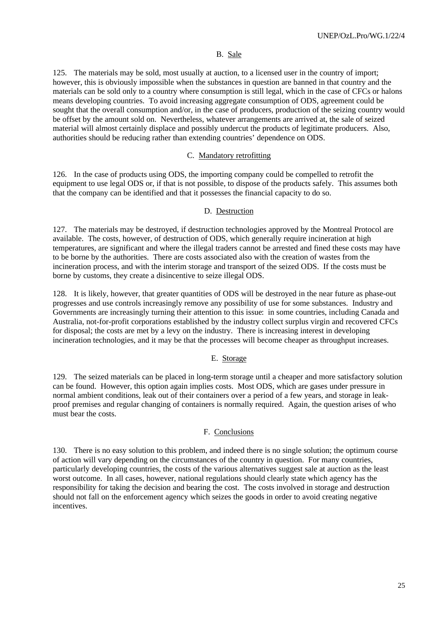### B. Sale

125. The materials may be sold, most usually at auction, to a licensed user in the country of import; however, this is obviously impossible when the substances in question are banned in that country and the materials can be sold only to a country where consumption is still legal, which in the case of CFCs or halons means developing countries. To avoid increasing aggregate consumption of ODS, agreement could be sought that the overall consumption and/or, in the case of producers, production of the seizing country would be offset by the amount sold on. Nevertheless, whatever arrangements are arrived at, the sale of seized material will almost certainly displace and possibly undercut the products of legitimate producers. Also, authorities should be reducing rather than extending countries' dependence on ODS.

### C. Mandatory retrofitting

126. In the case of products using ODS, the importing company could be compelled to retrofit the equipment to use legal ODS or, if that is not possible, to dispose of the products safely. This assumes both that the company can be identified and that it possesses the financial capacity to do so.

## D. Destruction

127. The materials may be destroyed, if destruction technologies approved by the Montreal Protocol are available. The costs, however, of destruction of ODS, which generally require incineration at high temperatures, are significant and where the illegal traders cannot be arrested and fined these costs may have to be borne by the authorities. There are costs associated also with the creation of wastes from the incineration process, and with the interim storage and transport of the seized ODS. If the costs must be borne by customs, they create a disincentive to seize illegal ODS.

128. It is likely, however, that greater quantities of ODS will be destroyed in the near future as phase-out progresses and use controls increasingly remove any possibility of use for some substances. Industry and Governments are increasingly turning their attention to this issue: in some countries, including Canada and Australia, not-for-profit corporations established by the industry collect surplus virgin and recovered CFCs for disposal; the costs are met by a levy on the industry. There is increasing interest in developing incineration technologies, and it may be that the processes will become cheaper as throughput increases.

# E. Storage

129. The seized materials can be placed in long-term storage until a cheaper and more satisfactory solution can be found. However, this option again implies costs. Most ODS, which are gases under pressure in normal ambient conditions, leak out of their containers over a period of a few years, and storage in leakproof premises and regular changing of containers is normally required. Again, the question arises of who must bear the costs.

### F. Conclusions

130. There is no easy solution to this problem, and indeed there is no single solution; the optimum course of action will vary depending on the circumstances of the country in question. For many countries, particularly developing countries, the costs of the various alternatives suggest sale at auction as the least worst outcome. In all cases, however, national regulations should clearly state which agency has the responsibility for taking the decision and bearing the cost. The costs involved in storage and destruction should not fall on the enforcement agency which seizes the goods in order to avoid creating negative incentives.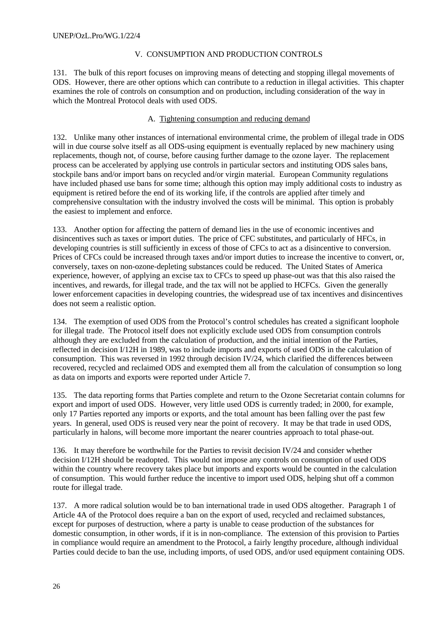## V. CONSUMPTION AND PRODUCTION CONTROLS

131. The bulk of this report focuses on improving means of detecting and stopping illegal movements of ODS. However, there are other options which can contribute to a reduction in illegal activities. This chapter examines the role of controls on consumption and on production, including consideration of the way in which the Montreal Protocol deals with used ODS.

## A. Tightening consumption and reducing demand

132. Unlike many other instances of international environmental crime, the problem of illegal trade in ODS will in due course solve itself as all ODS-using equipment is eventually replaced by new machinery using replacements, though not, of course, before causing further damage to the ozone layer. The replacement process can be accelerated by applying use controls in particular sectors and instituting ODS sales bans, stockpile bans and/or import bans on recycled and/or virgin material. European Community regulations have included phased use bans for some time; although this option may imply additional costs to industry as equipment is retired before the end of its working life, if the controls are applied after timely and comprehensive consultation with the industry involved the costs will be minimal. This option is probably the easiest to implement and enforce.

133. Another option for affecting the pattern of demand lies in the use of economic incentives and disincentives such as taxes or import duties. The price of CFC substitutes, and particularly of HFCs, in developing countries is still sufficiently in excess of those of CFCs to act as a disincentive to conversion. Prices of CFCs could be increased through taxes and/or import duties to increase the incentive to convert, or, conversely, taxes on non-ozone-depleting substances could be reduced. The United States of America experience, however, of applying an excise tax to CFCs to speed up phase-out was that this also raised the incentives, and rewards, for illegal trade, and the tax will not be applied to HCFCs. Given the generally lower enforcement capacities in developing countries, the widespread use of tax incentives and disincentives does not seem a realistic option.

134. The exemption of used ODS from the Protocol's control schedules has created a significant loophole for illegal trade. The Protocol itself does not explicitly exclude used ODS from consumption controls although they are excluded from the calculation of production, and the initial intention of the Parties, reflected in decision I/12H in 1989, was to include imports and exports of used ODS in the calculation of consumption. This was reversed in 1992 through decision IV/24, which clarified the differences between recovered, recycled and reclaimed ODS and exempted them all from the calculation of consumption so long as data on imports and exports were reported under Article 7.

135. The data reporting forms that Parties complete and return to the Ozone Secretariat contain columns for export and import of used ODS. However, very little used ODS is currently traded; in 2000, for example, only 17 Parties reported any imports or exports, and the total amount has been falling over the past few years. In general, used ODS is reused very near the point of recovery. It may be that trade in used ODS, particularly in halons, will become more important the nearer countries approach to total phase-out.

136. It may therefore be worthwhile for the Parties to revisit decision IV/24 and consider whether decision I/12H should be readopted. This would not impose any controls on consumption of used ODS within the country where recovery takes place but imports and exports would be counted in the calculation of consumption. This would further reduce the incentive to import used ODS, helping shut off a common route for illegal trade.

137. A more radical solution would be to ban international trade in used ODS altogether. Paragraph 1 of Article 4A of the Protocol does require a ban on the export of used, recycled and reclaimed substances, except for purposes of destruction, where a party is unable to cease production of the substances for domestic consumption, in other words, if it is in non-compliance. The extension of this provision to Parties in compliance would require an amendment to the Protocol, a fairly lengthy procedure, although individual Parties could decide to ban the use, including imports, of used ODS, and/or used equipment containing ODS.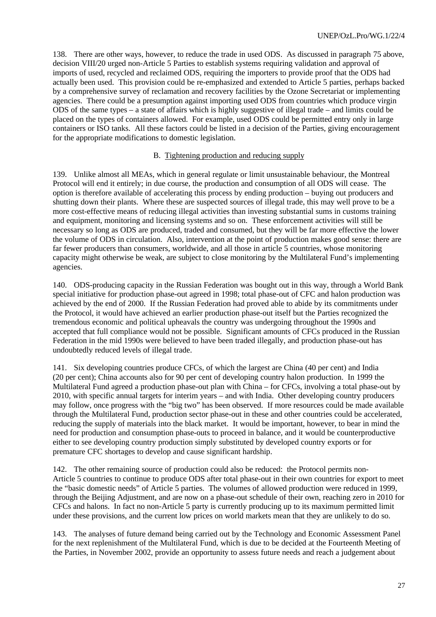138. There are other ways, however, to reduce the trade in used ODS. As discussed in paragraph 75 above, decision VIII/20 urged non-Article 5 Parties to establish systems requiring validation and approval of imports of used, recycled and reclaimed ODS, requiring the importers to provide proof that the ODS had actually been used. This provision could be re-emphasized and extended to Article 5 parties, perhaps backed by a comprehensive survey of reclamation and recovery facilities by the Ozone Secretariat or implementing agencies. There could be a presumption against importing used ODS from countries which produce virgin ODS of the same types – a state of affairs which is highly suggestive of illegal trade – and limits could be placed on the types of containers allowed. For example, used ODS could be permitted entry only in large containers or ISO tanks. All these factors could be listed in a decision of the Parties, giving encouragement for the appropriate modifications to domestic legislation.

## B. Tightening production and reducing supply

139. Unlike almost all MEAs, which in general regulate or limit unsustainable behaviour, the Montreal Protocol will end it entirely; in due course, the production and consumption of all ODS will cease. The option is therefore available of accelerating this process by ending production – buying out producers and shutting down their plants. Where these are suspected sources of illegal trade, this may well prove to be a more cost-effective means of reducing illegal activities than investing substantial sums in customs training and equipment, monitoring and licensing systems and so on. These enforcement activities will still be necessary so long as ODS are produced, traded and consumed, but they will be far more effective the lower the volume of ODS in circulation. Also, intervention at the point of production makes good sense: there are far fewer producers than consumers, worldwide, and all those in article 5 countries, whose monitoring capacity might otherwise be weak, are subject to close monitoring by the Multilateral Fund's implementing agencies.

140. ODS-producing capacity in the Russian Federation was bought out in this way, through a World Bank special initiative for production phase-out agreed in 1998; total phase-out of CFC and halon production was achieved by the end of 2000. If the Russian Federation had proved able to abide by its commitments under the Protocol, it would have achieved an earlier production phase-out itself but the Parties recognized the tremendous economic and political upheavals the country was undergoing throughout the 1990s and accepted that full compliance would not be possible. Significant amounts of CFCs produced in the Russian Federation in the mid 1990s were believed to have been traded illegally, and production phase-out has undoubtedly reduced levels of illegal trade.

141. Six developing countries produce CFCs, of which the largest are China (40 per cent) and India (20 per cent); China accounts also for 90 per cent of developing country halon production. In 1999 the Multilateral Fund agreed a production phase-out plan with China – for CFCs, involving a total phase-out by 2010, with specific annual targets for interim years – and with India. Other developing country producers may follow, once progress with the "big two" has been observed. If more resources could be made available through the Multilateral Fund, production sector phase-out in these and other countries could be accelerated, reducing the supply of materials into the black market. It would be important, however, to bear in mind the need for production and consumption phase-outs to proceed in balance, and it would be counterproductive either to see developing country production simply substituted by developed country exports or for premature CFC shortages to develop and cause significant hardship.

142. The other remaining source of production could also be reduced: the Protocol permits non-Article 5 countries to continue to produce ODS after total phase-out in their own countries for export to meet the "basic domestic needs" of Article 5 parties. The volumes of allowed production were reduced in 1999, through the Beijing Adjustment, and are now on a phase-out schedule of their own, reaching zero in 2010 for CFCs and halons. In fact no non-Article 5 party is currently producing up to its maximum permitted limit under these provisions, and the current low prices on world markets mean that they are unlikely to do so.

143. The analyses of future demand being carried out by the Technology and Economic Assessment Panel for the next replenishment of the Multilateral Fund, which is due to be decided at the Fourteenth Meeting of the Parties, in November 2002, provide an opportunity to assess future needs and reach a judgement about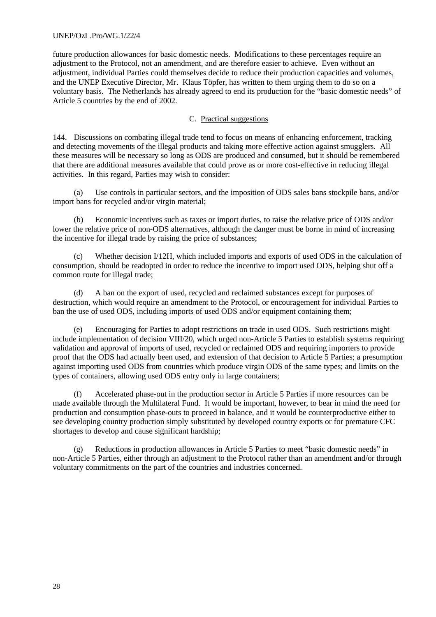### UNEP/OzL.Pro/WG.1/22/4

future production allowances for basic domestic needs. Modifications to these percentages require an adjustment to the Protocol, not an amendment, and are therefore easier to achieve. Even without an adjustment, individual Parties could themselves decide to reduce their production capacities and volumes, and the UNEP Executive Director, Mr. Klaus Töpfer, has written to them urging them to do so on a voluntary basis. The Netherlands has already agreed to end its production for the "basic domestic needs" of Article 5 countries by the end of 2002.

### C. Practical suggestions

144. Discussions on combating illegal trade tend to focus on means of enhancing enforcement, tracking and detecting movements of the illegal products and taking more effective action against smugglers. All these measures will be necessary so long as ODS are produced and consumed, but it should be remembered that there are additional measures available that could prove as or more cost-effective in reducing illegal activities. In this regard, Parties may wish to consider:

(a) Use controls in particular sectors, and the imposition of ODS sales bans stockpile bans, and/or import bans for recycled and/or virgin material;

(b) Economic incentives such as taxes or import duties, to raise the relative price of ODS and/or lower the relative price of non-ODS alternatives, although the danger must be borne in mind of increasing the incentive for illegal trade by raising the price of substances;

(c) Whether decision I/12H, which included imports and exports of used ODS in the calculation of consumption, should be readopted in order to reduce the incentive to import used ODS, helping shut off a common route for illegal trade;

(d) A ban on the export of used, recycled and reclaimed substances except for purposes of destruction, which would require an amendment to the Protocol, or encouragement for individual Parties to ban the use of used ODS, including imports of used ODS and/or equipment containing them;

(e) Encouraging for Parties to adopt restrictions on trade in used ODS. Such restrictions might include implementation of decision VIII/20, which urged non-Article 5 Parties to establish systems requiring validation and approval of imports of used, recycled or reclaimed ODS and requiring importers to provide proof that the ODS had actually been used, and extension of that decision to Article 5 Parties; a presumption against importing used ODS from countries which produce virgin ODS of the same types; and limits on the types of containers, allowing used ODS entry only in large containers;

(f) Accelerated phase-out in the production sector in Article 5 Parties if more resources can be made available through the Multilateral Fund. It would be important, however, to bear in mind the need for production and consumption phase-outs to proceed in balance, and it would be counterproductive either to see developing country production simply substituted by developed country exports or for premature CFC shortages to develop and cause significant hardship;

(g) Reductions in production allowances in Article 5 Parties to meet "basic domestic needs" in non-Article 5 Parties, either through an adjustment to the Protocol rather than an amendment and/or through voluntary commitments on the part of the countries and industries concerned.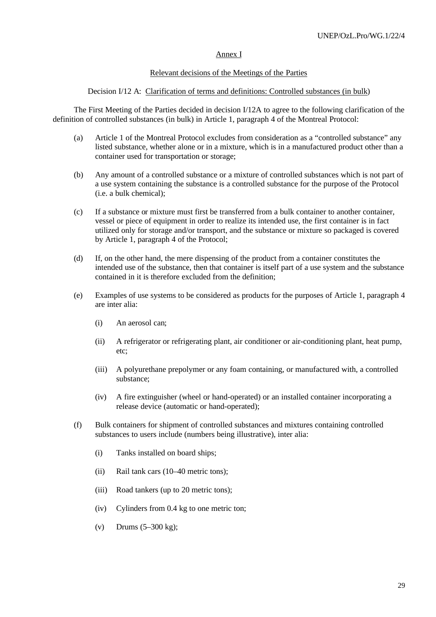### Annex I

## Relevant decisions of the Meetings of the Parties

### Decision I/12 A: Clarification of terms and definitions: Controlled substances (in bulk)

The First Meeting of the Parties decided in decision I/12A to agree to the following clarification of the definition of controlled substances (in bulk) in Article 1, paragraph 4 of the Montreal Protocol:

- (a) Article 1 of the Montreal Protocol excludes from consideration as a "controlled substance" any listed substance, whether alone or in a mixture, which is in a manufactured product other than a container used for transportation or storage;
- (b) Any amount of a controlled substance or a mixture of controlled substances which is not part of a use system containing the substance is a controlled substance for the purpose of the Protocol (i.e. a bulk chemical);
- (c) If a substance or mixture must first be transferred from a bulk container to another container, vessel or piece of equipment in order to realize its intended use, the first container is in fact utilized only for storage and/or transport, and the substance or mixture so packaged is covered by Article 1, paragraph 4 of the Protocol;
- (d) If, on the other hand, the mere dispensing of the product from a container constitutes the intended use of the substance, then that container is itself part of a use system and the substance contained in it is therefore excluded from the definition;
- (e) Examples of use systems to be considered as products for the purposes of Article 1, paragraph 4 are inter alia:
	- (i) An aerosol can;
	- (ii) A refrigerator or refrigerating plant, air conditioner or air-conditioning plant, heat pump, etc;
	- (iii) A polyurethane prepolymer or any foam containing, or manufactured with, a controlled substance;
	- (iv) A fire extinguisher (wheel or hand-operated) or an installed container incorporating a release device (automatic or hand-operated);
- (f) Bulk containers for shipment of controlled substances and mixtures containing controlled substances to users include (numbers being illustrative), inter alia:
	- (i) Tanks installed on board ships;
	- (ii) Rail tank cars (10–40 metric tons);
	- (iii) Road tankers (up to 20 metric tons);
	- (iv) Cylinders from 0.4 kg to one metric ton;
	- (v) Drums (5–300 kg);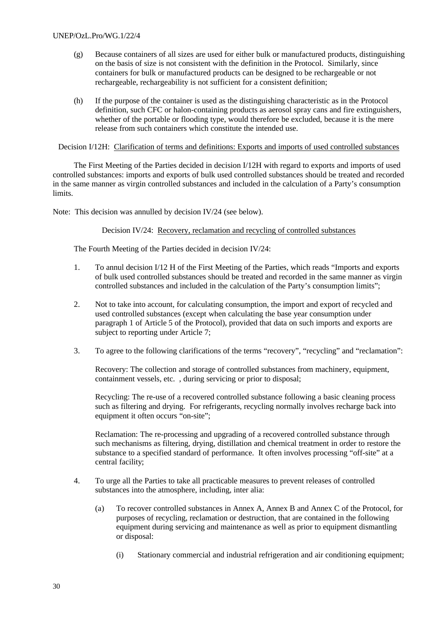- (g) Because containers of all sizes are used for either bulk or manufactured products, distinguishing on the basis of size is not consistent with the definition in the Protocol. Similarly, since containers for bulk or manufactured products can be designed to be rechargeable or not rechargeable, rechargeability is not sufficient for a consistent definition;
- (h) If the purpose of the container is used as the distinguishing characteristic as in the Protocol definition, such CFC or halon-containing products as aerosol spray cans and fire extinguishers, whether of the portable or flooding type, would therefore be excluded, because it is the mere release from such containers which constitute the intended use.

Decision I/12H: Clarification of terms and definitions: Exports and imports of used controlled substances

The First Meeting of the Parties decided in decision I/12H with regard to exports and imports of used controlled substances: imports and exports of bulk used controlled substances should be treated and recorded in the same manner as virgin controlled substances and included in the calculation of a Party's consumption limits.

Note: This decision was annulled by decision IV/24 (see below).

Decision IV/24: Recovery, reclamation and recycling of controlled substances

The Fourth Meeting of the Parties decided in decision IV/24:

- 1. To annul decision I/12 H of the First Meeting of the Parties, which reads "Imports and exports of bulk used controlled substances should be treated and recorded in the same manner as virgin controlled substances and included in the calculation of the Party's consumption limits";
- 2. Not to take into account, for calculating consumption, the import and export of recycled and used controlled substances (except when calculating the base year consumption under paragraph 1 of Article 5 of the Protocol), provided that data on such imports and exports are subject to reporting under Article 7;
- 3. To agree to the following clarifications of the terms "recovery", "recycling" and "reclamation":

Recovery: The collection and storage of controlled substances from machinery, equipment, containment vessels, etc. , during servicing or prior to disposal;

Recycling: The re-use of a recovered controlled substance following a basic cleaning process such as filtering and drying. For refrigerants, recycling normally involves recharge back into equipment it often occurs "on-site";

Reclamation: The re-processing and upgrading of a recovered controlled substance through such mechanisms as filtering, drying, distillation and chemical treatment in order to restore the substance to a specified standard of performance. It often involves processing "off-site" at a central facility;

- 4. To urge all the Parties to take all practicable measures to prevent releases of controlled substances into the atmosphere, including, inter alia:
	- (a) To recover controlled substances in Annex A, Annex B and Annex C of the Protocol, for purposes of recycling, reclamation or destruction, that are contained in the following equipment during servicing and maintenance as well as prior to equipment dismantling or disposal:
		- (i) Stationary commercial and industrial refrigeration and air conditioning equipment;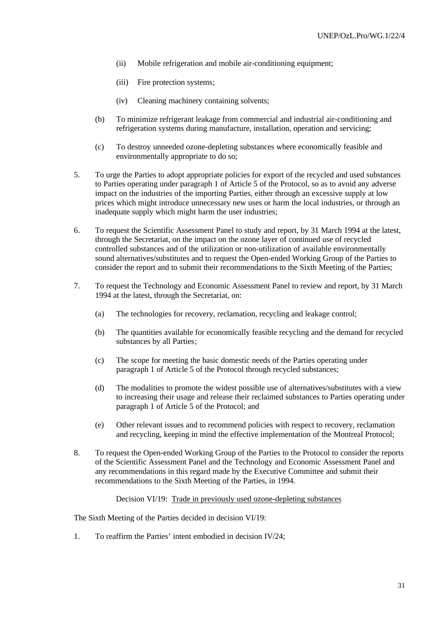- (ii) Mobile refrigeration and mobile air-conditioning equipment:
- (iii) Fire protection systems;
- (iv) Cleaning machinery containing solvents;
- (b) To minimize refrigerant leakage from commercial and industrial air-conditioning and refrigeration systems during manufacture, installation, operation and servicing;
- (c) To destroy unneeded ozone-depleting substances where economically feasible and environmentally appropriate to do so;
- 5. To urge the Parties to adopt appropriate policies for export of the recycled and used substances to Parties operating under paragraph 1 of Article 5 of the Protocol, so as to avoid any adverse impact on the industries of the importing Parties, either through an excessive supply at low prices which might introduce unnecessary new uses or harm the local industries, or through an inadequate supply which might harm the user industries;
- 6. To request the Scientific Assessment Panel to study and report, by 31 March 1994 at the latest, through the Secretariat, on the impact on the ozone layer of continued use of recycled controlled substances and of the utilization or non-utilization of available environmentally sound alternatives/substitutes and to request the Open-ended Working Group of the Parties to consider the report and to submit their recommendations to the Sixth Meeting of the Parties;
- 7. To request the Technology and Economic Assessment Panel to review and report, by 31 March 1994 at the latest, through the Secretariat, on:
	- (a) The technologies for recovery, reclamation, recycling and leakage control;
	- (b) The quantities available for economically feasible recycling and the demand for recycled substances by all Parties;
	- (c) The scope for meeting the basic domestic needs of the Parties operating under paragraph 1 of Article 5 of the Protocol through recycled substances;
	- (d) The modalities to promote the widest possible use of alternatives/substitutes with a view to increasing their usage and release their reclaimed substances to Parties operating under paragraph 1 of Article 5 of the Protocol; and
	- (e) Other relevant issues and to recommend policies with respect to recovery, reclamation and recycling, keeping in mind the effective implementation of the Montreal Protocol;
- 8. To request the Open-ended Working Group of the Parties to the Protocol to consider the reports of the Scientific Assessment Panel and the Technology and Economic Assessment Panel and any recommendations in this regard made by the Executive Committee and submit their recommendations to the Sixth Meeting of the Parties, in 1994.

Decision VI/19: Trade in previously used ozone-depleting substances

The Sixth Meeting of the Parties decided in decision VI/19:

1. To reaffirm the Parties' intent embodied in decision IV/24;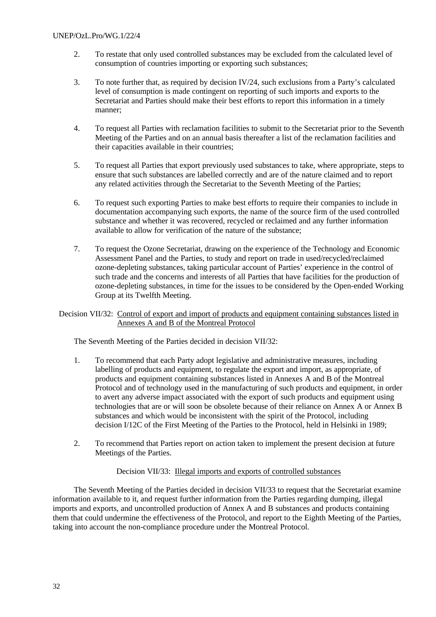- 2. To restate that only used controlled substances may be excluded from the calculated level of consumption of countries importing or exporting such substances;
- 3. To note further that, as required by decision IV/24, such exclusions from a Party's calculated level of consumption is made contingent on reporting of such imports and exports to the Secretariat and Parties should make their best efforts to report this information in a timely manner;
- 4. To request all Parties with reclamation facilities to submit to the Secretariat prior to the Seventh Meeting of the Parties and on an annual basis thereafter a list of the reclamation facilities and their capacities available in their countries;
- 5. To request all Parties that export previously used substances to take, where appropriate, steps to ensure that such substances are labelled correctly and are of the nature claimed and to report any related activities through the Secretariat to the Seventh Meeting of the Parties;
- 6. To request such exporting Parties to make best efforts to require their companies to include in documentation accompanying such exports, the name of the source firm of the used controlled substance and whether it was recovered, recycled or reclaimed and any further information available to allow for verification of the nature of the substance;
- 7. To request the Ozone Secretariat, drawing on the experience of the Technology and Economic Assessment Panel and the Parties, to study and report on trade in used/recycled/reclaimed ozone-depleting substances, taking particular account of Parties' experience in the control of such trade and the concerns and interests of all Parties that have facilities for the production of ozone-depleting substances, in time for the issues to be considered by the Open-ended Working Group at its Twelfth Meeting.

Decision VII/32: Control of export and import of products and equipment containing substances listed in Annexes A and B of the Montreal Protocol

The Seventh Meeting of the Parties decided in decision VII/32:

- 1. To recommend that each Party adopt legislative and administrative measures, including labelling of products and equipment, to regulate the export and import, as appropriate, of products and equipment containing substances listed in Annexes A and B of the Montreal Protocol and of technology used in the manufacturing of such products and equipment, in order to avert any adverse impact associated with the export of such products and equipment using technologies that are or will soon be obsolete because of their reliance on Annex A or Annex B substances and which would be inconsistent with the spirit of the Protocol, including decision I/12C of the First Meeting of the Parties to the Protocol, held in Helsinki in 1989;
- 2. To recommend that Parties report on action taken to implement the present decision at future Meetings of the Parties.

# Decision VII/33: Illegal imports and exports of controlled substances

The Seventh Meeting of the Parties decided in decision VII/33 to request that the Secretariat examine information available to it, and request further information from the Parties regarding dumping, illegal imports and exports, and uncontrolled production of Annex A and B substances and products containing them that could undermine the effectiveness of the Protocol, and report to the Eighth Meeting of the Parties, taking into account the non-compliance procedure under the Montreal Protocol.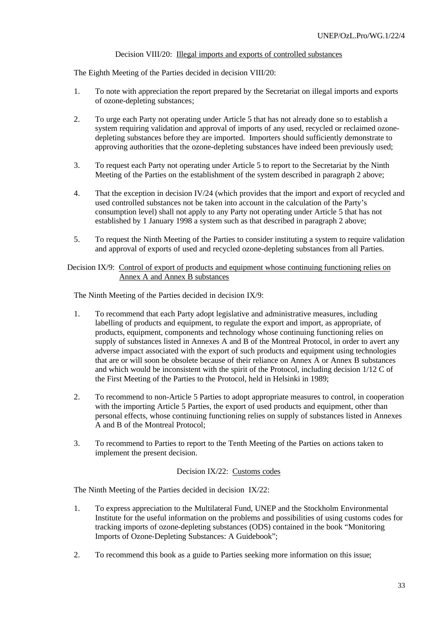### Decision VIII/20: Illegal imports and exports of controlled substances

The Eighth Meeting of the Parties decided in decision VIII/20:

- 1. To note with appreciation the report prepared by the Secretariat on illegal imports and exports of ozone-depleting substances;
- 2. To urge each Party not operating under Article 5 that has not already done so to establish a system requiring validation and approval of imports of any used, recycled or reclaimed ozonedepleting substances before they are imported. Importers should sufficiently demonstrate to approving authorities that the ozone-depleting substances have indeed been previously used;
- 3. To request each Party not operating under Article 5 to report to the Secretariat by the Ninth Meeting of the Parties on the establishment of the system described in paragraph 2 above;
- 4. That the exception in decision IV/24 (which provides that the import and export of recycled and used controlled substances not be taken into account in the calculation of the Party's consumption level) shall not apply to any Party not operating under Article 5 that has not established by 1 January 1998 a system such as that described in paragraph 2 above;
- 5. To request the Ninth Meeting of the Parties to consider instituting a system to require validation and approval of exports of used and recycled ozone-depleting substances from all Parties.

Decision IX/9: Control of export of products and equipment whose continuing functioning relies on Annex A and Annex B substances

The Ninth Meeting of the Parties decided in decision IX/9:

- 1. To recommend that each Party adopt legislative and administrative measures, including labelling of products and equipment, to regulate the export and import, as appropriate, of products, equipment, components and technology whose continuing functioning relies on supply of substances listed in Annexes A and B of the Montreal Protocol, in order to avert any adverse impact associated with the export of such products and equipment using technologies that are or will soon be obsolete because of their reliance on Annex A or Annex B substances and which would be inconsistent with the spirit of the Protocol, including decision 1/12 C of the First Meeting of the Parties to the Protocol, held in Helsinki in 1989;
- 2. To recommend to non-Article 5 Parties to adopt appropriate measures to control, in cooperation with the importing Article 5 Parties, the export of used products and equipment, other than personal effects, whose continuing functioning relies on supply of substances listed in Annexes A and B of the Montreal Protocol;
- 3. To recommend to Parties to report to the Tenth Meeting of the Parties on actions taken to implement the present decision.

#### Decision IX/22: Customs codes

The Ninth Meeting of the Parties decided in decision IX/22:

- 1. To express appreciation to the Multilateral Fund, UNEP and the Stockholm Environmental Institute for the useful information on the problems and possibilities of using customs codes for tracking imports of ozone-depleting substances (ODS) contained in the book "Monitoring Imports of Ozone-Depleting Substances: A Guidebook";
- 2. To recommend this book as a guide to Parties seeking more information on this issue;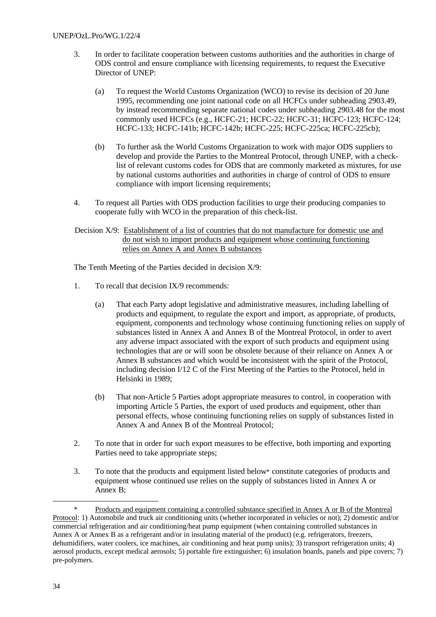- 3. In order to facilitate cooperation between customs authorities and the authorities in charge of ODS control and ensure compliance with licensing requirements, to request the Executive Director of UNEP:
	- (a) To request the World Customs Organization (WCO) to revise its decision of 20 June 1995, recommending one joint national code on all HCFCs under subheading 2903.49, by instead recommending separate national codes under subheading 2903.48 for the most commonly used HCFCs (e.g., HCFC-21; HCFC-22; HCFC-31; HCFC-123; HCFC-124; HCFC-133; HCFC-141b; HCFC-142b; HCFC-225; HCFC-225ca; HCFC-225cb);
	- (b) To further ask the World Customs Organization to work with major ODS suppliers to develop and provide the Parties to the Montreal Protocol, through UNEP, with a checklist of relevant customs codes for ODS that are commonly marketed as mixtures, for use by national customs authorities and authorities in charge of control of ODS to ensure compliance with import licensing requirements;
- 4. To request all Parties with ODS production facilities to urge their producing companies to cooperate fully with WCO in the preparation of this check-list.
- Decision X/9: Establishment of a list of countries that do not manufacture for domestic use and do not wish to import products and equipment whose continuing functioning relies on Annex A and Annex B substances

The Tenth Meeting of the Parties decided in decision X/9:

- 1. To recall that decision IX/9 recommends:
	- (a) That each Party adopt legislative and administrative measures, including labelling of products and equipment, to regulate the export and import, as appropriate, of products, equipment, components and technology whose continuing functioning relies on supply of substances listed in Annex A and Annex B of the Montreal Protocol, in order to avert any adverse impact associated with the export of such products and equipment using technologies that are or will soon be obsolete because of their reliance on Annex A or Annex B substances and which would be inconsistent with the spirit of the Protocol, including decision I/12 C of the First Meeting of the Parties to the Protocol, held in Helsinki in 1989;
	- (b) That non-Article 5 Parties adopt appropriate measures to control, in cooperation with importing Article 5 Parties, the export of used products and equipment, other than personal effects, whose continuing functioning relies on supply of substances listed in Annex A and Annex B of the Montreal Protocol;
- 2. To note that in order for such export measures to be effective, both importing and exporting Parties need to take appropriate steps;
- 3. To note that the products and equipment listed below\* constitute categories of products and equipment whose continued use relies on the supply of substances listed in Annex A or Annex B;

l

<sup>\*</sup> Products and equipment containing a controlled substance specified in Annex A or B of the Montreal Protocol: 1) Automobile and truck air conditioning units (whether incorporated in vehicles or not); 2) domestic and/or commercial refrigeration and air conditioning/heat pump equipment (when containing controlled substances in Annex A or Annex B as a refrigerant and/or in insulating material of the product) (e.g. refrigerators, freezers, dehumidifiers, water coolers, ice machines, air conditioning and heat pump units); 3) transport refrigeration units; 4) aerosol products, except medical aerosols; 5) portable fire extinguisher; 6) insulation boards, panels and pipe covers; 7) pre-polymers.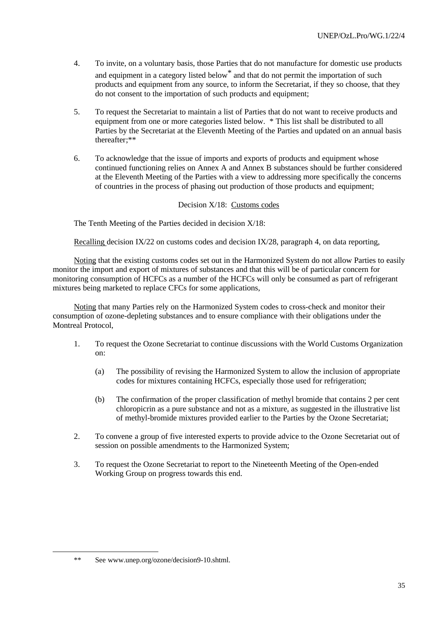- 4. To invite, on a voluntary basis, those Parties that do not manufacture for domestic use products and equipment in a category listed below\* and that do not permit the importation of such products and equipment from any source, to inform the Secretariat, if they so choose, that they do not consent to the importation of such products and equipment;
- 5. To request the Secretariat to maintain a list of Parties that do not want to receive products and equipment from one or more categories listed below. \* This list shall be distributed to all Parties by the Secretariat at the Eleventh Meeting of the Parties and updated on an annual basis thereafter;\*\*
- 6. To acknowledge that the issue of imports and exports of products and equipment whose continued functioning relies on Annex A and Annex B substances should be further considered at the Eleventh Meeting of the Parties with a view to addressing more specifically the concerns of countries in the process of phasing out production of those products and equipment;

# Decision X/18: Customs codes

The Tenth Meeting of the Parties decided in decision X/18:

Recalling decision IX/22 on customs codes and decision IX/28, paragraph 4, on data reporting,

Noting that the existing customs codes set out in the Harmonized System do not allow Parties to easily monitor the import and export of mixtures of substances and that this will be of particular concern for monitoring consumption of HCFCs as a number of the HCFCs will only be consumed as part of refrigerant mixtures being marketed to replace CFCs for some applications,

Noting that many Parties rely on the Harmonized System codes to cross-check and monitor their consumption of ozone-depleting substances and to ensure compliance with their obligations under the Montreal Protocol,

- 1. To request the Ozone Secretariat to continue discussions with the World Customs Organization on:
	- (a) The possibility of revising the Harmonized System to allow the inclusion of appropriate codes for mixtures containing HCFCs, especially those used for refrigeration;
	- (b) The confirmation of the proper classification of methyl bromide that contains 2 per cent chloropicrin as a pure substance and not as a mixture, as suggested in the illustrative list of methyl-bromide mixtures provided earlier to the Parties by the Ozone Secretariat;
- 2. To convene a group of five interested experts to provide advice to the Ozone Secretariat out of session on possible amendments to the Harmonized System;
- 3. To request the Ozone Secretariat to report to the Nineteenth Meeting of the Open-ended Working Group on progress towards this end.

<sup>\*\*</sup> See www.unep.org/ozone/decision9-10.shtml.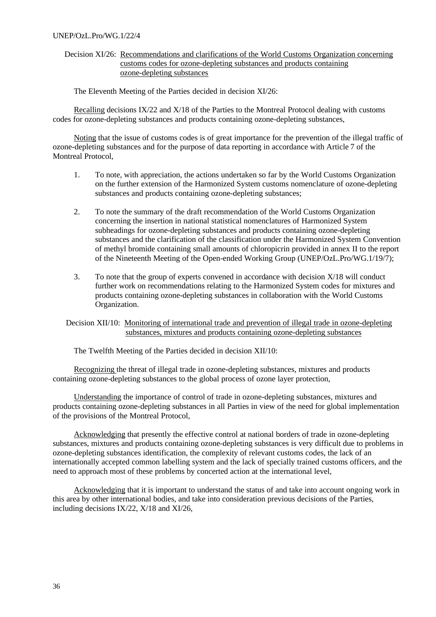#### UNEP/OzL.Pro/WG.1/22/4

Decision XI/26: Recommendations and clarifications of the World Customs Organization concerning customs codes for ozone-depleting substances and products containing ozone-depleting substances

The Eleventh Meeting of the Parties decided in decision XI/26:

Recalling decisions IX/22 and X/18 of the Parties to the Montreal Protocol dealing with customs codes for ozone-depleting substances and products containing ozone-depleting substances,

Noting that the issue of customs codes is of great importance for the prevention of the illegal traffic of ozone-depleting substances and for the purpose of data reporting in accordance with Article 7 of the Montreal Protocol,

- 1. To note, with appreciation, the actions undertaken so far by the World Customs Organization on the further extension of the Harmonized System customs nomenclature of ozone-depleting substances and products containing ozone-depleting substances;
- 2. To note the summary of the draft recommendation of the World Customs Organization concerning the insertion in national statistical nomenclatures of Harmonized System subheadings for ozone-depleting substances and products containing ozone-depleting substances and the clarification of the classification under the Harmonized System Convention of methyl bromide containing small amounts of chloropicrin provided in annex II to the report of the Nineteenth Meeting of the Open-ended Working Group (UNEP/OzL.Pro/WG.1/19/7);
- 3. To note that the group of experts convened in accordance with decision X/18 will conduct further work on recommendations relating to the Harmonized System codes for mixtures and products containing ozone-depleting substances in collaboration with the World Customs Organization.

Decision XII/10: Monitoring of international trade and prevention of illegal trade in ozone-depleting substances, mixtures and products containing ozone-depleting substances

The Twelfth Meeting of the Parties decided in decision XII/10:

Recognizing the threat of illegal trade in ozone-depleting substances, mixtures and products containing ozone-depleting substances to the global process of ozone layer protection,

Understanding the importance of control of trade in ozone-depleting substances, mixtures and products containing ozone-depleting substances in all Parties in view of the need for global implementation of the provisions of the Montreal Protocol,

Acknowledging that presently the effective control at national borders of trade in ozone-depleting substances, mixtures and products containing ozone-depleting substances is very difficult due to problems in ozone-depleting substances identification, the complexity of relevant customs codes, the lack of an internationally accepted common labelling system and the lack of specially trained customs officers, and the need to approach most of these problems by concerted action at the international level,

Acknowledging that it is important to understand the status of and take into account ongoing work in this area by other international bodies, and take into consideration previous decisions of the Parties, including decisions IX/22, X/18 and XI/26,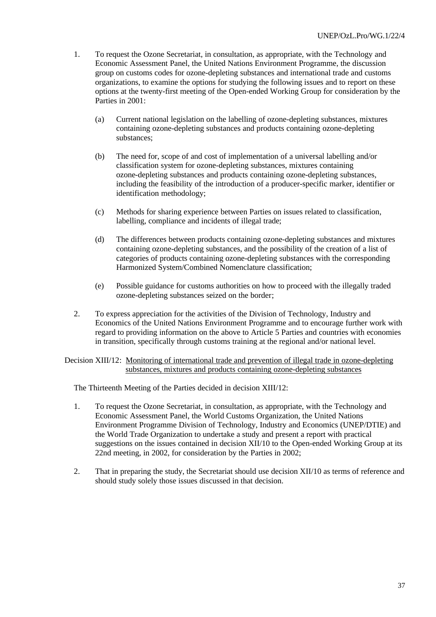- 1. To request the Ozone Secretariat, in consultation, as appropriate, with the Technology and Economic Assessment Panel, the United Nations Environment Programme, the discussion group on customs codes for ozone-depleting substances and international trade and customs organizations, to examine the options for studying the following issues and to report on these options at the twenty-first meeting of the Open-ended Working Group for consideration by the Parties in 2001:
	- (a) Current national legislation on the labelling of ozone-depleting substances, mixtures containing ozone-depleting substances and products containing ozone-depleting substances;
	- (b) The need for, scope of and cost of implementation of a universal labelling and/or classification system for ozone-depleting substances, mixtures containing ozone-depleting substances and products containing ozone-depleting substances, including the feasibility of the introduction of a producer-specific marker, identifier or identification methodology;
	- (c) Methods for sharing experience between Parties on issues related to classification, labelling, compliance and incidents of illegal trade;
	- (d) The differences between products containing ozone-depleting substances and mixtures containing ozone-depleting substances, and the possibility of the creation of a list of categories of products containing ozone-depleting substances with the corresponding Harmonized System/Combined Nomenclature classification;
	- (e) Possible guidance for customs authorities on how to proceed with the illegally traded ozone-depleting substances seized on the border;
- 2. To express appreciation for the activities of the Division of Technology, Industry and Economics of the United Nations Environment Programme and to encourage further work with regard to providing information on the above to Article 5 Parties and countries with economies in transition, specifically through customs training at the regional and/or national level.

Decision XIII/12: Monitoring of international trade and prevention of illegal trade in ozone-depleting substances, mixtures and products containing ozone-depleting substances

The Thirteenth Meeting of the Parties decided in decision XIII/12:

- 1. To request the Ozone Secretariat, in consultation, as appropriate, with the Technology and Economic Assessment Panel, the World Customs Organization, the United Nations Environment Programme Division of Technology, Industry and Economics (UNEP/DTIE) and the World Trade Organization to undertake a study and present a report with practical suggestions on the issues contained in decision XII/10 to the Open-ended Working Group at its 22nd meeting, in 2002, for consideration by the Parties in 2002;
- 2. That in preparing the study, the Secretariat should use decision XII/10 as terms of reference and should study solely those issues discussed in that decision.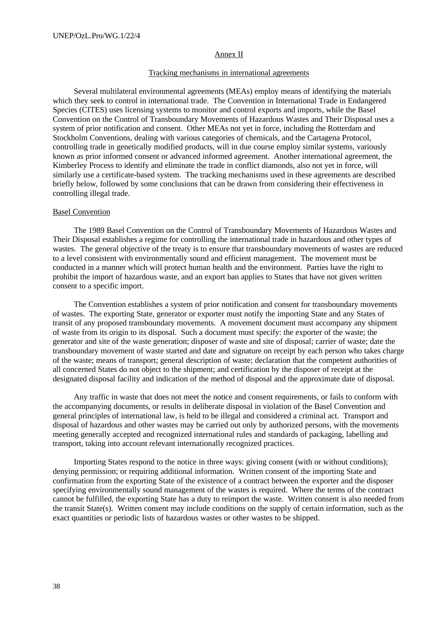### Annex II

#### Tracking mechanisms in international agreements

Several multilateral environmental agreements (MEAs) employ means of identifying the materials which they seek to control in international trade. The Convention in International Trade in Endangered Species (CITES) uses licensing systems to monitor and control exports and imports, while the Basel Convention on the Control of Transboundary Movements of Hazardous Wastes and Their Disposal uses a system of prior notification and consent. Other MEAs not yet in force, including the Rotterdam and Stockholm Conventions, dealing with various categories of chemicals, and the Cartagena Protocol, controlling trade in genetically modified products, will in due course employ similar systems, variously known as prior informed consent or advanced informed agreement. Another international agreement, the Kimberley Process to identify and eliminate the trade in conflict diamonds, also not yet in force, will similarly use a certificate-based system. The tracking mechanisms used in these agreements are described briefly below, followed by some conclusions that can be drawn from considering their effectiveness in controlling illegal trade.

#### Basel Convention

The 1989 Basel Convention on the Control of Transboundary Movements of Hazardous Wastes and Their Disposal establishes a regime for controlling the international trade in hazardous and other types of wastes. The general objective of the treaty is to ensure that transboundary movements of wastes are reduced to a level consistent with environmentally sound and efficient management. The movement must be conducted in a manner which will protect human health and the environment. Parties have the right to prohibit the import of hazardous waste, and an export ban applies to States that have not given written consent to a specific import.

The Convention establishes a system of prior notification and consent for transboundary movements of wastes. The exporting State, generator or exporter must notify the importing State and any States of transit of any proposed transboundary movements. A movement document must accompany any shipment of waste from its origin to its disposal. Such a document must specify: the exporter of the waste; the generator and site of the waste generation; disposer of waste and site of disposal; carrier of waste; date the transboundary movement of waste started and date and signature on receipt by each person who takes charge of the waste; means of transport; general description of waste; declaration that the competent authorities of all concerned States do not object to the shipment; and certification by the disposer of receipt at the designated disposal facility and indication of the method of disposal and the approximate date of disposal.

Any traffic in waste that does not meet the notice and consent requirements, or fails to conform with the accompanying documents, or results in deliberate disposal in violation of the Basel Convention and general principles of international law, is held to be illegal and considered a criminal act. Transport and disposal of hazardous and other wastes may be carried out only by authorized persons, with the movements meeting generally accepted and recognized international rules and standards of packaging, labelling and transport, taking into account relevant internationally recognized practices.

Importing States respond to the notice in three ways: giving consent (with or without conditions); denying permission; or requiring additional information. Written consent of the importing State and confirmation from the exporting State of the existence of a contract between the exporter and the disposer specifying environmentally sound management of the wastes is required. Where the terms of the contract cannot be fulfilled, the exporting State has a duty to reimport the waste. Written consent is also needed from the transit State(s). Written consent may include conditions on the supply of certain information, such as the exact quantities or periodic lists of hazardous wastes or other wastes to be shipped.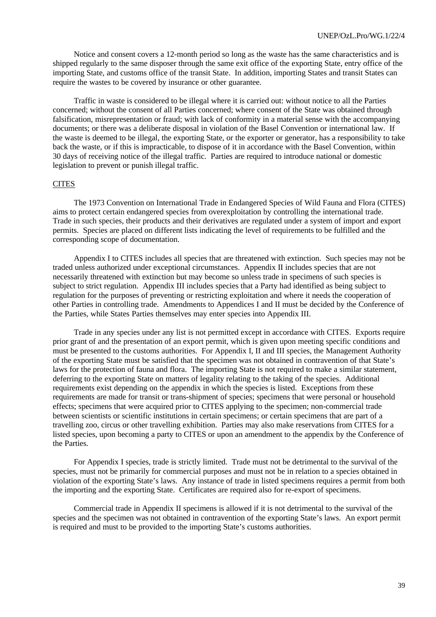Notice and consent covers a 12-month period so long as the waste has the same characteristics and is shipped regularly to the same disposer through the same exit office of the exporting State, entry office of the importing State, and customs office of the transit State. In addition, importing States and transit States can require the wastes to be covered by insurance or other guarantee.

Traffic in waste is considered to be illegal where it is carried out: without notice to all the Parties concerned; without the consent of all Parties concerned; where consent of the State was obtained through falsification, misrepresentation or fraud; with lack of conformity in a material sense with the accompanying documents; or there was a deliberate disposal in violation of the Basel Convention or international law. If the waste is deemed to be illegal, the exporting State, or the exporter or generator, has a responsibility to take back the waste, or if this is impracticable, to dispose of it in accordance with the Basel Convention, within 30 days of receiving notice of the illegal traffic. Parties are required to introduce national or domestic legislation to prevent or punish illegal traffic.

#### **CITES**

The 1973 Convention on International Trade in Endangered Species of Wild Fauna and Flora (CITES) aims to protect certain endangered species from overexploitation by controlling the international trade. Trade in such species, their products and their derivatives are regulated under a system of import and export permits. Species are placed on different lists indicating the level of requirements to be fulfilled and the corresponding scope of documentation.

Appendix I to CITES includes all species that are threatened with extinction. Such species may not be traded unless authorized under exceptional circumstances. Appendix II includes species that are not necessarily threatened with extinction but may become so unless trade in specimens of such species is subject to strict regulation. Appendix III includes species that a Party had identified as being subject to regulation for the purposes of preventing or restricting exploitation and where it needs the cooperation of other Parties in controlling trade. Amendments to Appendices I and II must be decided by the Conference of the Parties, while States Parties themselves may enter species into Appendix III.

Trade in any species under any list is not permitted except in accordance with CITES. Exports require prior grant of and the presentation of an export permit, which is given upon meeting specific conditions and must be presented to the customs authorities. For Appendix I, II and III species, the Management Authority of the exporting State must be satisfied that the specimen was not obtained in contravention of that State's laws for the protection of fauna and flora. The importing State is not required to make a similar statement, deferring to the exporting State on matters of legality relating to the taking of the species. Additional requirements exist depending on the appendix in which the species is listed. Exceptions from these requirements are made for transit or trans-shipment of species; specimens that were personal or household effects; specimens that were acquired prior to CITES applying to the specimen; non-commercial trade between scientists or scientific institutions in certain specimens; or certain specimens that are part of a travelling zoo, circus or other travelling exhibition. Parties may also make reservations from CITES for a listed species, upon becoming a party to CITES or upon an amendment to the appendix by the Conference of the Parties.

For Appendix I species, trade is strictly limited. Trade must not be detrimental to the survival of the species, must not be primarily for commercial purposes and must not be in relation to a species obtained in violation of the exporting State's laws. Any instance of trade in listed specimens requires a permit from both the importing and the exporting State. Certificates are required also for re-export of specimens.

Commercial trade in Appendix II specimens is allowed if it is not detrimental to the survival of the species and the specimen was not obtained in contravention of the exporting State's laws. An export permit is required and must to be provided to the importing State's customs authorities.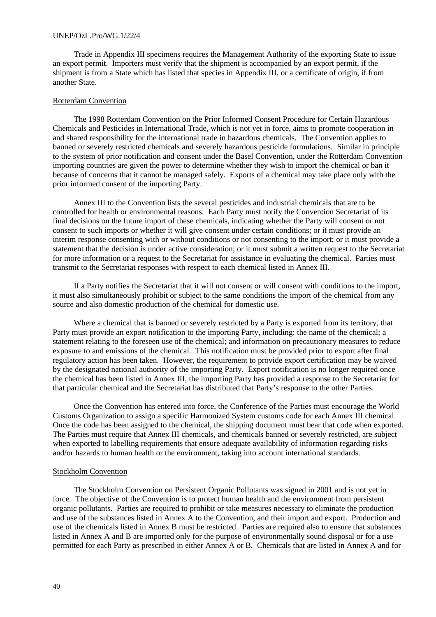#### UNEP/OzL.Pro/WG.1/22/4

Trade in Appendix III specimens requires the Management Authority of the exporting State to issue an export permit. Importers must verify that the shipment is accompanied by an export permit, if the shipment is from a State which has listed that species in Appendix III, or a certificate of origin, if from another State.

#### Rotterdam Convention

The 1998 Rotterdam Convention on the Prior Informed Consent Procedure for Certain Hazardous Chemicals and Pesticides in International Trade, which is not yet in force, aims to promote cooperation in and shared responsibility for the international trade in hazardous chemicals. The Convention applies to banned or severely restricted chemicals and severely hazardous pesticide formulations. Similar in principle to the system of prior notification and consent under the Basel Convention, under the Rotterdam Convention importing countries are given the power to determine whether they wish to import the chemical or ban it because of concerns that it cannot be managed safely. Exports of a chemical may take place only with the prior informed consent of the importing Party.

Annex III to the Convention lists the several pesticides and industrial chemicals that are to be controlled for health or environmental reasons. Each Party must notify the Convention Secretariat of its final decisions on the future import of these chemicals, indicating whether the Party will consent or not consent to such imports or whether it will give consent under certain conditions; or it must provide an interim response consenting with or without conditions or not consenting to the import; or it must provide a statement that the decision is under active consideration; or it must submit a written request to the Secretariat for more information or a request to the Secretariat for assistance in evaluating the chemical. Parties must transmit to the Secretariat responses with respect to each chemical listed in Annex III.

If a Party notifies the Secretariat that it will not consent or will consent with conditions to the import, it must also simultaneously prohibit or subject to the same conditions the import of the chemical from any source and also domestic production of the chemical for domestic use.

Where a chemical that is banned or severely restricted by a Party is exported from its territory, that Party must provide an export notification to the importing Party, including: the name of the chemical; a statement relating to the foreseen use of the chemical; and information on precautionary measures to reduce exposure to and emissions of the chemical. This notification must be provided prior to export after final regulatory action has been taken. However, the requirement to provide export certification may be waived by the designated national authority of the importing Party. Export notification is no longer required once the chemical has been listed in Annex III, the importing Party has provided a response to the Secretariat for that particular chemical and the Secretariat has distributed that Party's response to the other Parties.

Once the Convention has entered into force, the Conference of the Parties must encourage the World Customs Organization to assign a specific Harmonized System customs code for each Annex III chemical. Once the code has been assigned to the chemical, the shipping document must bear that code when exported. The Parties must require that Annex III chemicals, and chemicals banned or severely restricted, are subject when exported to labelling requirements that ensure adequate availability of information regarding risks and/or hazards to human health or the environment, taking into account international standards.

#### Stockholm Convention

The Stockholm Convention on Persistent Organic Pollutants was signed in 2001 and is not yet in force. The objective of the Convention is to protect human health and the environment from persistent organic pollutants. Parties are required to prohibit or take measures necessary to eliminate the production and use of the substances listed in Annex A to the Convention, and their import and export. Production and use of the chemicals listed in Annex B must be restricted. Parties are required also to ensure that substances listed in Annex A and B are imported only for the purpose of environmentally sound disposal or for a use permitted for each Party as prescribed in either Annex A or B. Chemicals that are listed in Annex A and for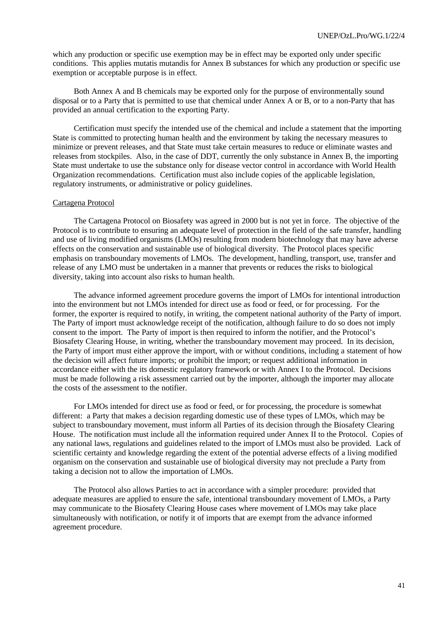which any production or specific use exemption may be in effect may be exported only under specific conditions. This applies mutatis mutandis for Annex B substances for which any production or specific use exemption or acceptable purpose is in effect.

Both Annex A and B chemicals may be exported only for the purpose of environmentally sound disposal or to a Party that is permitted to use that chemical under Annex A or B, or to a non-Party that has provided an annual certification to the exporting Party.

Certification must specify the intended use of the chemical and include a statement that the importing State is committed to protecting human health and the environment by taking the necessary measures to minimize or prevent releases, and that State must take certain measures to reduce or eliminate wastes and releases from stockpiles. Also, in the case of DDT, currently the only substance in Annex B, the importing State must undertake to use the substance only for disease vector control in accordance with World Health Organization recommendations. Certification must also include copies of the applicable legislation, regulatory instruments, or administrative or policy guidelines.

#### Cartagena Protocol

The Cartagena Protocol on Biosafety was agreed in 2000 but is not yet in force. The objective of the Protocol is to contribute to ensuring an adequate level of protection in the field of the safe transfer, handling and use of living modified organisms (LMOs) resulting from modern biotechnology that may have adverse effects on the conservation and sustainable use of biological diversity. The Protocol places specific emphasis on transboundary movements of LMOs. The development, handling, transport, use, transfer and release of any LMO must be undertaken in a manner that prevents or reduces the risks to biological diversity, taking into account also risks to human health.

The advance informed agreement procedure governs the import of LMOs for intentional introduction into the environment but not LMOs intended for direct use as food or feed, or for processing. For the former, the exporter is required to notify, in writing, the competent national authority of the Party of import. The Party of import must acknowledge receipt of the notification, although failure to do so does not imply consent to the import. The Party of import is then required to inform the notifier, and the Protocol's Biosafety Clearing House, in writing, whether the transboundary movement may proceed. In its decision, the Party of import must either approve the import, with or without conditions, including a statement of how the decision will affect future imports; or prohibit the import; or request additional information in accordance either with the its domestic regulatory framework or with Annex I to the Protocol. Decisions must be made following a risk assessment carried out by the importer, although the importer may allocate the costs of the assessment to the notifier.

For LMOs intended for direct use as food or feed, or for processing, the procedure is somewhat different: a Party that makes a decision regarding domestic use of these types of LMOs, which may be subject to transboundary movement, must inform all Parties of its decision through the Biosafety Clearing House. The notification must include all the information required under Annex II to the Protocol. Copies of any national laws, regulations and guidelines related to the import of LMOs must also be provided. Lack of scientific certainty and knowledge regarding the extent of the potential adverse effects of a living modified organism on the conservation and sustainable use of biological diversity may not preclude a Party from taking a decision not to allow the importation of LMOs.

The Protocol also allows Parties to act in accordance with a simpler procedure: provided that adequate measures are applied to ensure the safe, intentional transboundary movement of LMOs, a Party may communicate to the Biosafety Clearing House cases where movement of LMOs may take place simultaneously with notification, or notify it of imports that are exempt from the advance informed agreement procedure.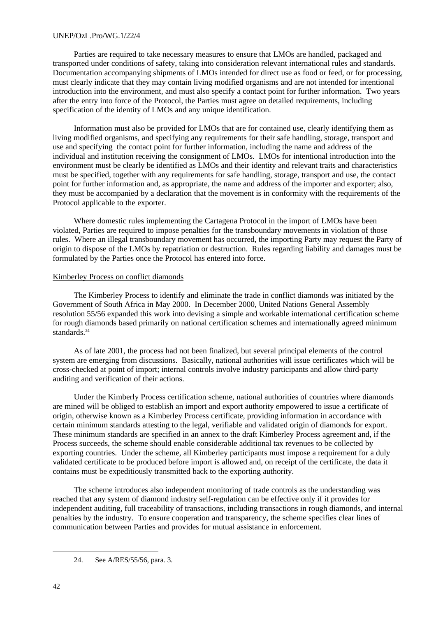### UNEP/OzL.Pro/WG.1/22/4

Parties are required to take necessary measures to ensure that LMOs are handled, packaged and transported under conditions of safety, taking into consideration relevant international rules and standards. Documentation accompanying shipments of LMOs intended for direct use as food or feed, or for processing, must clearly indicate that they may contain living modified organisms and are not intended for intentional introduction into the environment, and must also specify a contact point for further information. Two years after the entry into force of the Protocol, the Parties must agree on detailed requirements, including specification of the identity of LMOs and any unique identification.

Information must also be provided for LMOs that are for contained use, clearly identifying them as living modified organisms, and specifying any requirements for their safe handling, storage, transport and use and specifying the contact point for further information, including the name and address of the individual and institution receiving the consignment of LMOs. LMOs for intentional introduction into the environment must be clearly be identified as LMOs and their identity and relevant traits and characteristics must be specified, together with any requirements for safe handling, storage, transport and use, the contact point for further information and, as appropriate, the name and address of the importer and exporter; also, they must be accompanied by a declaration that the movement is in conformity with the requirements of the Protocol applicable to the exporter.

Where domestic rules implementing the Cartagena Protocol in the import of LMOs have been violated, Parties are required to impose penalties for the transboundary movements in violation of those rules. Where an illegal transboundary movement has occurred, the importing Party may request the Party of origin to dispose of the LMOs by repatriation or destruction. Rules regarding liability and damages must be formulated by the Parties once the Protocol has entered into force.

#### Kimberley Process on conflict diamonds

The Kimberley Process to identify and eliminate the trade in conflict diamonds was initiated by the Government of South Africa in May 2000. In December 2000, United Nations General Assembly resolution 55/56 expanded this work into devising a simple and workable international certification scheme for rough diamonds based primarily on national certification schemes and internationally agreed minimum standards.<sup>24</sup>

As of late 2001, the process had not been finalized, but several principal elements of the control system are emerging from discussions. Basically, national authorities will issue certificates which will be cross-checked at point of import; internal controls involve industry participants and allow third-party auditing and verification of their actions.

Under the Kimberly Process certification scheme, national authorities of countries where diamonds are mined will be obliged to establish an import and export authority empowered to issue a certificate of origin, otherwise known as a Kimberley Process certificate, providing information in accordance with certain minimum standards attesting to the legal, verifiable and validated origin of diamonds for export. These minimum standards are specified in an annex to the draft Kimberley Process agreement and, if the Process succeeds, the scheme should enable considerable additional tax revenues to be collected by exporting countries. Under the scheme, all Kimberley participants must impose a requirement for a duly validated certificate to be produced before import is allowed and, on receipt of the certificate, the data it contains must be expeditiously transmitted back to the exporting authority.

The scheme introduces also independent monitoring of trade controls as the understanding was reached that any system of diamond industry self-regulation can be effective only if it provides for independent auditing, full traceability of transactions, including transactions in rough diamonds, and internal penalties by the industry. To ensure cooperation and transparency, the scheme specifies clear lines of communication between Parties and provides for mutual assistance in enforcement.

<sup>24.</sup> See A/RES/55/56, para. 3.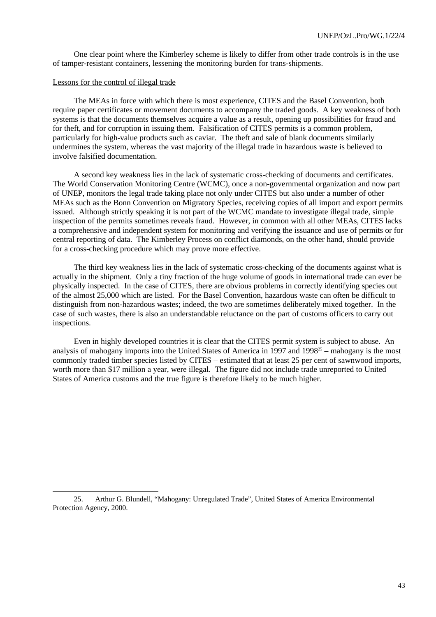One clear point where the Kimberley scheme is likely to differ from other trade controls is in the use of tamper-resistant containers, lessening the monitoring burden for trans-shipments.

#### Lessons for the control of illegal trade

 $\overline{a}$ 

The MEAs in force with which there is most experience, CITES and the Basel Convention, both require paper certificates or movement documents to accompany the traded goods. A key weakness of both systems is that the documents themselves acquire a value as a result, opening up possibilities for fraud and for theft, and for corruption in issuing them. Falsification of CITES permits is a common problem, particularly for high-value products such as caviar. The theft and sale of blank documents similarly undermines the system, whereas the vast majority of the illegal trade in hazardous waste is believed to involve falsified documentation.

A second key weakness lies in the lack of systematic cross-checking of documents and certificates. The World Conservation Monitoring Centre (WCMC), once a non-governmental organization and now part of UNEP, monitors the legal trade taking place not only under CITES but also under a number of other MEAs such as the Bonn Convention on Migratory Species, receiving copies of all import and export permits issued. Although strictly speaking it is not part of the WCMC mandate to investigate illegal trade, simple inspection of the permits sometimes reveals fraud. However, in common with all other MEAs, CITES lacks a comprehensive and independent system for monitoring and verifying the issuance and use of permits or for central reporting of data. The Kimberley Process on conflict diamonds, on the other hand, should provide for a cross-checking procedure which may prove more effective.

The third key weakness lies in the lack of systematic cross-checking of the documents against what is actually in the shipment. Only a tiny fraction of the huge volume of goods in international trade can ever be physically inspected. In the case of CITES, there are obvious problems in correctly identifying species out of the almost 25,000 which are listed. For the Basel Convention, hazardous waste can often be difficult to distinguish from non-hazardous wastes; indeed, the two are sometimes deliberately mixed together. In the case of such wastes, there is also an understandable reluctance on the part of customs officers to carry out inspections.

Even in highly developed countries it is clear that the CITES permit system is subject to abuse. An analysis of mahogany imports into the United States of America in 1997 and 1998<sup>25</sup> – mahogany is the most commonly traded timber species listed by CITES – estimated that at least 25 per cent of sawnwood imports, worth more than \$17 million a year, were illegal. The figure did not include trade unreported to United States of America customs and the true figure is therefore likely to be much higher.

<sup>25.</sup> Arthur G. Blundell, "Mahogany: Unregulated Trade", United States of America Environmental Protection Agency, 2000.